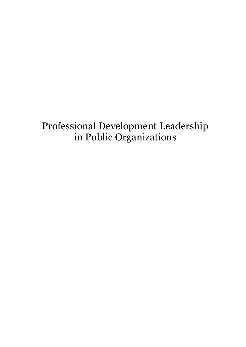## Professional Development Leadership in Public Organizations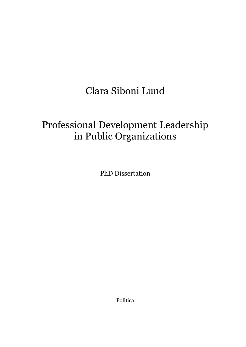# Clara Siboni Lund

# Professional Development Leadership in Public Organizations

PhD Dissertation

Politica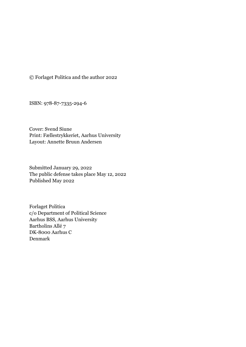© Forlaget Politica and the author 2022

ISBN: 978-87-7335-294-6

Cover: Svend Siune Print: Fællestrykkeriet, Aarhus University Layout: Annette Bruun Andersen

Submitted January 29, 2022 The public defense takes place May 12, 2022 Published May 2022

Forlaget Politica c/o Department of Political Science Aarhus BSS, Aarhus University Bartholins Allé 7 DK-8000 Aarhus C Denmark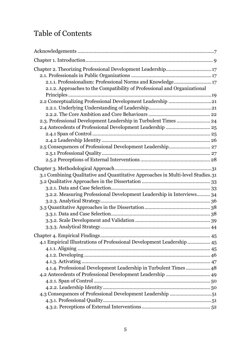### Table of Contents

| Chapter 2. Theorizing Professional Development Leadership17<br>2.1.1. Professionalism: Professional Norms and Knowledge 17<br>2.1.2. Approaches to the Compatibility of Professional and Organizational  |
|----------------------------------------------------------------------------------------------------------------------------------------------------------------------------------------------------------|
| 2.2 Conceptualizing Professional Development Leadership 21<br>2.3. Professional Development Leadership in Turbulent Times  24                                                                            |
|                                                                                                                                                                                                          |
| 3.1 Combining Qualitative and Quantitative Approaches in Multi-level Studies.31<br>3.2.2. Measuring Professional Development Leadership in Interviews 34                                                 |
| 4.1 Empirical Illustrations of Professional Development Leadership 45<br>4.1.4. Professional Development Leadership in Turbulent Times  48<br>4.3 Consequences of Professional Development Leadership 51 |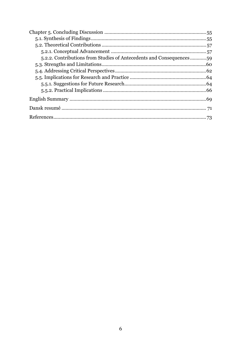| 5,2.2. Contributions from Studies of Antecedents and Consequences59 |  |
|---------------------------------------------------------------------|--|
|                                                                     |  |
|                                                                     |  |
|                                                                     |  |
|                                                                     |  |
|                                                                     |  |
|                                                                     |  |
|                                                                     |  |
|                                                                     |  |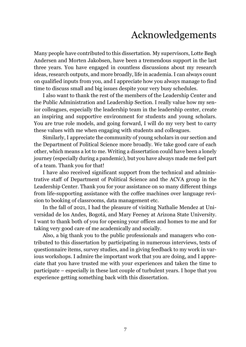## Acknowledgements

<span id="page-6-0"></span>Many people have contributed to this dissertation. My supervisors, Lotte Bøgh Andersen and Morten Jakobsen, have been a tremendous support in the last three years. You have engaged in countless discussions about my research ideas, research outputs, and more broadly, life in academia. I can always count on qualified inputs from you, and I appreciate how you always manage to find time to discuss small and big issues despite your very busy schedules.

I also want to thank the rest of the members of the Leadership Center and the Public Administration and Leadership Section. I really value how my senior colleagues, especially the leadership team in the leadership center, create an inspiring and supportive environment for students and young scholars. You are true role models, and going forward, I will do my very best to carry these values with me when engaging with students and colleagues.

Similarly, I appreciate the community of young scholars in our section and the Department of Political Science more broadly. We take good care of each other, which means a lot to me. Writing a dissertation could have been a lonely journey (especially during a pandemic), but you have always made me feel part of a team. Thank you for that!

I have also received significant support from the technical and administrative staff of Department of Political Science and the ACVA group in the Leadership Center. Thank you for your assistance on so many different things from life-supporting assistance with the coffee machines over language revision to booking of classrooms, data management etc.

In the fall of 2021, I had the pleasure of visiting Nathalie Mendez at Universidad de los Andes, Bogotá, and Mary Feeney at Arizona State University. I want to thank both of you for opening your offices and homes to me and for taking very good care of me academically and socially.

Also, a big thank you to the public professionals and managers who contributed to this dissertation by participating in numerous interviews, tests of questionnaire items, survey studies, and in giving feedback to my work in various workshops. I admire the important work that you are doing, and I appreciate that you have trusted me with your experiences and taken the time to participate – especially in these last couple of turbulent years. I hope that you experience getting something back with this dissertation.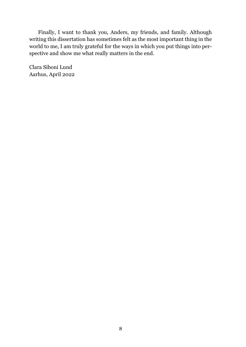Finally, I want to thank you, Anders, my friends, and family. Although writing this dissertation has sometimes felt as the most important thing in the world to me, I am truly grateful for the ways in which you put things into perspective and show me what really matters in the end.

Clara Siboni Lund Aarhus, April 2022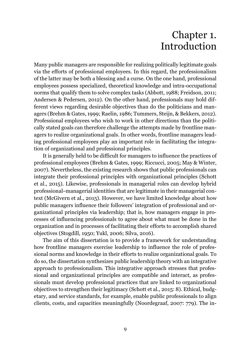## Chapter 1. Introduction

<span id="page-8-0"></span>Many public managers are responsible for realizing politically legitimate goals via the efforts of professional employees. In this regard, the professionalism of the latter may be both a blessing and a curse. On the one hand, professional employees possess specialized, theoretical knowledge and intra-occupational norms that qualify them to solve complex tasks (Abbott, 1988; Freidson, 2011; Andersen & Pedersen, 2012). On the other hand, professionals may hold different views regarding desirable objectives than do the politicians and managers (Brehm & Gates, 1999; Raelin, 1986; Tummers, Steijn, & Bekkers, 2012). Professional employees who wish to work in other directions than the politically stated goals can therefore challenge the attempts made by frontline managers to realize organizational goals. In other words, frontline managers leading professional employees play an important role in facilitating the integration of organizational and professional principles.

It is generally held to be difficult for managers to influence the practices of professional employees (Brehm & Gates, 1999; Riccucci, 2005; May & Winter, 2007). Nevertheless, the existing research shows that public professionals can integrate their professional principles with organizational principles (Schott et al., 2015). Likewise, professionals in managerial roles can develop hybrid professional–managerial identities that are legitimate in their managerial context (McGivern et al., 2015). However, we have limited knowledge about how public managers influence their followers' integration of professional and organizational principles via leadership; that is, how managers engage in processes of influencing professionals to agree about what must be done in the organization and in processes of facilitating their efforts to accomplish shared objectives (Stogdill, 1950; Yukl, 2006; Silva, 2016).

The aim of this dissertation is to provide a framework for understanding how frontline managers exercise leadership to influence the role of professional norms and knowledge in their efforts to realize organizational goals. To do so, the dissertation synthesizes public leadership theory with an integrative approach to professionalism. This integrative approach stresses that professional and organizational principles are compatible and interact, as professionals must develop professional practices that are linked to organizational objectives to strengthen their legitimacy (Schott et al., 2015: 8). Ethical, budgetary, and service standards, for example, enable public professionals to align clients, costs, and capacities meaningfully (Noordegraaf, 2007: 779). The in-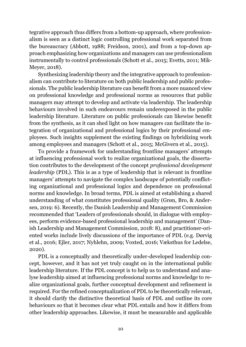tegrative approach thus differs from a bottom-up approach, where professionalism is seen as a distinct logic controlling professional work separated from the bureaucracy (Abbott, 1988; Freidson, 2001), and from a top-down approach emphasizing how organizations and managers can use professionalism instrumentally to control professionals (Schott et al., 2015; Evetts, 2011; Mik-Meyer, 2018).

Synthesizing leadership theory and the integrative approach to professionalism can contribute to literature on both public leadership and public professionals. The public leadership literature can benefit from a more nuanced view on professional knowledge and professional norms as resources that public managers may attempt to develop and activate via leadership. The leadership behaviours involved in such endeavours remain underexposed in the public leadership literature. Literature on public professionals can likewise benefit from the synthesis, as it can shed light on how managers can facilitate the integration of organizational and professional logics by their professional employees. Such insights supplement the existing findings on hybridizing work among employees and managers (Schott et al., 2015; McGivern et al., 2015).

To provide a framework for understanding frontline managers' attempts at influencing professional work to realize organizational goals, the dissertation contributes to the development of the concept *professional development leadership* (PDL). This is as a type of leadership that is relevant in frontline managers' attempts to navigate the complex landscape of potentially conflicting organizational and professional logics and dependence on professional norms and knowledge. In broad terms, PDL is aimed at establishing a shared understanding of what constitutes professional quality (Grøn, Bro, & Andersen, 2019: 6). Recently, the Danish Leadership and Management Commission recommended that 'Leaders of professionals should, in dialogue with employees, perform evidence-based professional leadership and management' (Danish Leadership and Management Commission, 2018: 8), and practitioner-oriented works include lively discussions of the importance of PDL (e.g. Dørvig et al., 2016; Ejler, 2017; Nyhlehn, 2009; Voxted, 2016; Væksthus for Ledelse, 2020).

PDL is a conceptually and theoretically under-developed leadership concept, however, and it has not yet truly caught on in the international public leadership literature. If the PDL concept is to help us to understand and analyse leadership aimed at influencing professional norms and knowledge to realize organizational goals, further conceptual development and refinement is required. For the refined conceptualization of PDL to be theoretically relevant, it should clarify the distinctive theoretical basis of PDL and outline its core behaviours so that it becomes clear what PDL entails and how it differs from other leadership approaches. Likewise, it must be measurable and applicable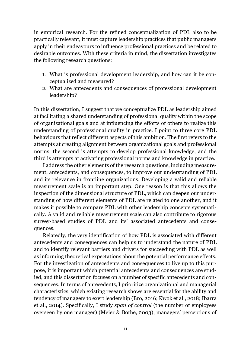in empirical research. For the refined conceptualization of PDL also to be practically relevant, it must capture leadership practices that public managers apply in their endeavours to influence professional practices and be related to desirable outcomes. With these criteria in mind, the dissertation investigates the following research questions:

- 1. What is professional development leadership, and how can it be conceptualized and measured?
- 2. What are antecedents and consequences of professional development leadership?

In this dissertation, I suggest that we conceptualize PDL as leadership aimed at facilitating a shared understanding of professional quality within the scope of organizational goals and at influencing the efforts of others to realize this understanding of professional quality in practice. I point to three core PDL behaviours that reflect different aspects of this ambition. The first refers to the attempts at creating alignment between organizational goals and professional norms, the second is attempts to develop professional knowledge, and the third is attempts at activating professional norms and knowledge in practice.

I address the other elements of the research questions, including measurement, antecedents, and consequences, to improve our understanding of PDL and its relevance in frontline organizations. Developing a valid and reliable measurement scale is an important step. One reason is that this allows the inspection of the dimensional structure of PDL, which can deepen our understanding of how different elements of PDL are related to one another, and it makes it possible to compare PDL with other leadership concepts systematically. A valid and reliable measurement scale can also contribute to rigorous survey-based studies of PDL and its' associated antecedents and consequences.

Relatedly, the very identification of how PDL is associated with different antecedents and consequences can help us to understand the nature of PDL and to identify relevant barriers and drivers for succeeding with PDL as well as informing theoretical expectations about the potential performance effects. For the investigation of antecedents and consequences to live up to this purpose, it is important which potential antecedents and consequences are studied, and this dissertation focuses on a number of specific antecedents and consequences. In terms of antecedents, I prioritize organizational and managerial characteristics, which existing research shows are essential for the ability and tendency of managers to exert leadership (Bro, 2016; Kwok et al., 2018; Ibarra et al., 2014). Specifically, I study *span of control* (the number of employees overseen by one manager) (Meier & Bothe, 2003), managers' perceptions of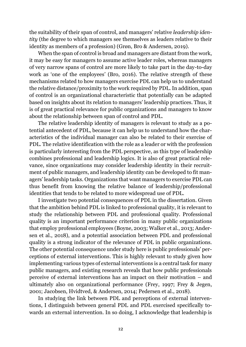the suitability of their span of control, and managers' relative *leadership identity* (the degree to which managers see themselves as leaders relative to their identity as members of a profession) (Grøn, Bro & Andersen, 2019).

When the span of control is broad and managers are distant from the work, it may be easy for managers to assume active leader roles, whereas managers of very narrow spans of control are more likely to take part in the day-to-day work as 'one of the employees' (Bro, 2016). The relative strength of these mechanisms related to how managers exercise PDL can help us to understand the relative distance/proximity to the work required by PDL. In addition, span of control is an organizational characteristic that potentially can be adapted based on insights about its relation to managers' leadership practices. Thus, it is of great practical relevance for public organizations and managers to know about the relationship between span of control and PDL.

The relative leadership identity of managers is relevant to study as a potential antecedent of PDL, because it can help us to understand how the characteristics of the individual manager can also be related to their exercise of PDL. The relative identification with the role as a leader or with the profession is particularly interesting from the PDL perspective, as this type of leadership combines professional and leadership logics. It is also of great practical relevance, since organizations may consider leadership identity in their recruitment of public managers, and leadership identity can be developed to fit managers' leadership tasks. Organizations that want managers to exercise PDL can thus benefit from knowing the relative balance of leadership/professional identities that tends to be related to more widespread use of PDL.

I investigate two potential consequences of PDL in the dissertation. Given that the ambition behind PDL is linked to professional quality, it is relevant to study the relationship between PDL and professional quality. Professional quality is an important performance criterion in many public organizations that employ professional employees (Boyne, 2003; Walker et al., 2013; Andersen et al., 2018), and a potential association between PDL and professional quality is a strong indicator of the relevance of PDL in public organizations. The other potential consequence under study here is public professionals' perceptions of external interventions. This is highly relevant to study given how implementing various types of external interventions is a central task for many public managers, and existing research reveals that how public professionals perceive of external interventions has an impact on their motivation – and ultimately also on organizational performance (Frey, 1997; Frey & Jegen, 2001; Jacobsen, Hvidtved, & Andersen, 2014; Pedersen et al., 2018).

In studying the link between PDL and perceptions of external interventions, I distinguish between general PDL and PDL exercised specifically towards an external intervention. In so doing, I acknowledge that leadership is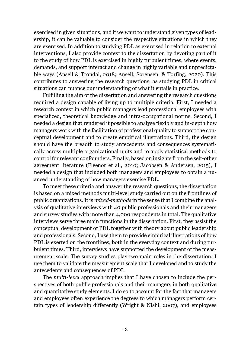exercised in given situations, and if we want to understand given types of leadership, it can be valuable to consider the respective situations in which they are exercised. In addition to studying PDL as exercised in relation to external interventions, I also provide context to the dissertation by devoting part of it to the study of how PDL is exercised in highly turbulent times, where events, demands, and support interact and change in highly variable and unpredictable ways (Ansell & Trondal, 2018; Ansell, Sørensen, & Torfing, 2020). This contributes to answering the research questions, as studying PDL in critical situations can nuance our understanding of what it entails in practice.

Fulfilling the aim of the dissertation and answering the research questions required a design capable of living up to multiple criteria. First, I needed a research context in which public managers lead professional employees with specialized, theoretical knowledge and intra-occupational norms. Second, I needed a design that rendered it possible to analyse flexibly and in-depth how managers work with the facilitation of professional quality to support the conceptual development and to create empirical illustrations. Third, the design should have the breadth to study antecedents and consequences systematically across multiple organizational units and to apply statistical methods to control for relevant confounders. Finally, based on insights from the self-other agreement literature (Fleenor et al., 2010; Jacobsen & Andersen, 2015), I needed a design that included both managers and employees to obtain a nuanced understanding of how managers exercise PDL.

To meet these criteria and answer the research questions, the dissertation is based on a mixed methods multi-level study carried out on the frontlines of public organizations. It is *mixed-methods* in the sense that I combine the analysis of qualitative interviews with 40 public professionals and their managers and survey studies with more than 4,000 respondents in total. The qualitative interviews serve three main functions in the dissertation. First, they assist the conceptual development of PDL together with theory about public leadership and professionals. Second, I use them to provide empirical illustrations of how PDL is exerted on the frontlines, both in the everyday context and during turbulent times. Third, interviews have supported the development of the measurement scale. The survey studies play two main roles in the dissertation: I use them to validate the measurement scale that I developed and to study the antecedents and consequences of PDL.

The *multi-level* approach implies that I have chosen to include the perspectives of both public professionals and their managers in both qualitative and quantitative study elements. I do so to account for the fact that managers and employees often experience the degrees to which managers perform certain types of leadership differently (Wright & Nishi, 2007), and employees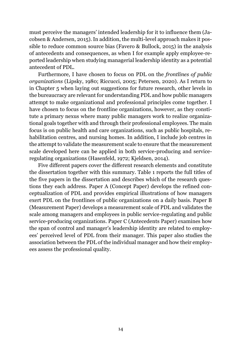must perceive the managers' intended leadership for it to influence them (Jacobsen & Andersen, 2015). In addition, the multi-level approach makes it possible to reduce common source bias (Favero & Bullock, 2015) in the analysis of antecedents and consequences, as when I for example apply employee-reported leadership when studying managerial leadership identity as a potential antecedent of PDL.

Furthermore, I have chosen to focus on PDL on the *frontlines of public organizations* (Lipsky, 1980; Riccucci, 2005; Petersen, 2020). As I return to in Chapter 5 when laying out suggestions for future research, other levels in the bureaucracy are relevant for understanding PDL and how public managers attempt to make organizational and professional principles come together. I have chosen to focus on the frontline organizations, however, as they constitute a primary nexus where many public managers work to realize organizational goals together with and through their professional employees. The main focus is on public health and care organizations, such as public hospitals, rehabilitation centres, and nursing homes. In addition, I include job centres in the attempt to validate the measurement scale to ensure that the measurement scale developed here can be applied in both service-producing and serviceregulating organizations (Hasenfeld, 1972; Kjeldsen, 2014).

Five different papers cover the different research elements and constitute the dissertation together with this summary. Table 1 reports the full titles of the five papers in the dissertation and describes which of the research questions they each address. Paper A (Concept Paper) develops the refined conceptualization of PDL and provides empirical illustrations of how managers exert PDL on the frontlines of public organizations on a daily basis. Paper B (Measurement Paper) develops a measurement scale of PDL and validates the scale among managers and employees in public service-regulating and public service-producing organizations. Paper C (Antecedents Paper) examines how the span of control and manager's leadership identity are related to employees' perceived level of PDL from their manager. This paper also studies the association between the PDL of the individual manager and how their employees assess the professional quality.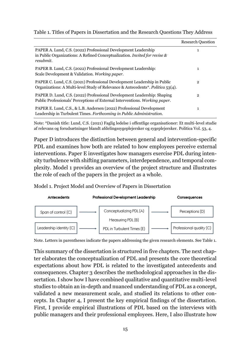|  |  |  | Table 1. Titles of Papers in Dissertation and the Research Questions They Address |
|--|--|--|-----------------------------------------------------------------------------------|
|  |  |  |                                                                                   |
|  |  |  |                                                                                   |
|  |  |  |                                                                                   |

|                                                                                                                                                              | <b>Research Question</b> |
|--------------------------------------------------------------------------------------------------------------------------------------------------------------|--------------------------|
| PAPER A. Lund, C.S. (2022) Professional Development Leadership<br>in Public Organizations: A Refined Conceptualization. Invited for revise $\&$<br>resubmit. |                          |
| PAPER B. Lund, C.S. (2022) Professional Development Leadership:<br>Scale Development & Validation. Working paper.                                            | 1                        |
| PAPER C. Lund, C.S. (2021) Professional Development Leadership in Public<br>Organizations: A Multi-level Study of Relevance & Antecedents*. Politica 53(4).  | $\overline{2}$           |
| PAPER D. Lund, C.S. (2022) Professional Development Leadership: Shaping<br>Public Professionals' Perceptions of External Interventions. Working paper.       | $\overline{2}$           |
| PAPER E. Lund, C.S., & L.B. Andersen (2022) Professional Development<br>Leadership in Turbulent Times. Forthcoming in Public Administration.                 | 1                        |

Note: \*Danish title: Lund, C.S. (2021) Faglig ledelse i offentlige organisationer: Et multi-level studie af relevans og forudsætninger blandt afdelingssygeplejersker og sygeplejersker. Politica Vol. 53, 4.

Paper D introduces the distinction between general and intervention-specific PDL and examines how both are related to how employees perceive external interventions. Paper E investigates how managers exercise PDL during intensity turbulence with shifting parameters, interdependence, and temporal complexity. Model 1 provides an overview of the project structure and illustrates the role of each of the papers in the project as a whole.

Model 1. Project Model and Overview of Papers in Dissertation



Note. Letters in parentheses indicate the papers addressing the given research elements. See Table 1.

This summary of the dissertation is structured in five chapters. The next chapter elaborates the conceptualization of PDL and presents the core theoretical expectations about how PDL is related to the investigated antecedents and consequences. Chapter 3 describes the methodological approaches in the dissertation. I show how I have combined qualitative and quantitative multi-level studies to obtain an in-depth and nuanced understanding of PDL as a concept, validated a new measurement scale, and studied its relations to other concepts. In Chapter 4, I present the key empirical findings of the dissertation. First, I provide empirical illustrations of PDL based on the interviews with public managers and their professional employees. Here, I also illustrate how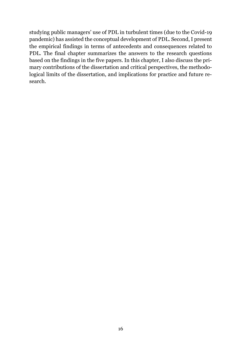studying public managers' use of PDL in turbulent times (due to the Covid-19 pandemic) has assisted the conceptual development of PDL. Second, I present the empirical findings in terms of antecedents and consequences related to PDL. The final chapter summarizes the answers to the research questions based on the findings in the five papers. In this chapter, I also discuss the primary contributions of the dissertation and critical perspectives, the methodological limits of the dissertation, and implications for practice and future research.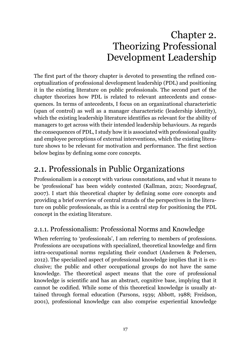## Chapter 2. Theorizing Professional Development Leadership

<span id="page-16-0"></span>The first part of the theory chapter is devoted to presenting the refined conceptualization of professional development leadership (PDL) and positioning it in the existing literature on public professionals. The second part of the chapter theorizes how PDL is related to relevant antecedents and consequences. In terms of antecedents, I focus on an organizational characteristic (span of control) as well as a manager characteristic (leadership identity), which the existing leadership literature identifies as relevant for the ability of managers to get across with their intended leadership behaviours. As regards the consequences of PDL, I study how it is associated with professional quality and employee perceptions of external interventions, which the existing literature shows to be relevant for motivation and performance. The first section below begins by defining some core concepts.

### <span id="page-16-1"></span>2.1. Professionals in Public Organizations

Professionalism is a concept with various connotations, and what it means to be 'professional' has been widely contested (Kallman, 2021; Noordegraaf, 2007). I start this theoretical chapter by defining some core concepts and providing a brief overview of central strands of the perspectives in the literature on public professionals, as this is a central step for positioning the PDL concept in the existing literature.

### <span id="page-16-2"></span>2.1.1. Professionalism: Professional Norms and Knowledge

When referring to 'professionals', I am referring to members of professions. Professions are occupations with specialized, theoretical knowledge and firm intra-occupational norms regulating their conduct (Andersen & Pedersen, 2012). The specialized aspect of professional knowledge implies that it is exclusive; the public and other occupational groups do not have the same knowledge. The theoretical aspect means that the core of professional knowledge is scientific and has an abstract, cognitive base, implying that it cannot be codified. While some of this theoretical knowledge is usually attained through formal education (Parsons, 1939; Abbott, 1988; Freidson, 2001), professional knowledge can also comprise experiential knowledge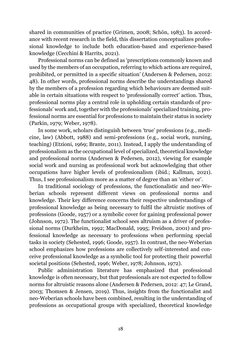shared in communities of practice (Grimen, 2008; Schön, 1983). In accordance with recent research in the field, this dissertation conceptualizes professional knowledge to include both education-based and experience-based knowledge (Cecchini & Harrits, 2021).

Professional norms can be defined as 'prescriptions commonly known and used by the members of an occupation, referring to which actions are required, prohibited, or permitted in a specific situation' (Andersen & Pedersen, 2012: 48). In other words, professional norms describe the understandings shared by the members of a profession regarding which behaviours are deemed suitable in certain situations with respect to 'professionally correct' action. Thus, professional norms play a central role in upholding certain standards of professionals' work and, together with the professionals' specialized training, professional norms are essential for professions to maintain their status in society (Parkin, 1979; Weber, 1978).

In some work, scholars distinguish between 'true' professions (e.g., medicine, law) (Abbott, 1988) and semi-professions (e.g., social work, nursing, teaching) (Etzioni, 1969; Brante, 2011). Instead, I apply the understanding of professionalism as the occupational level of specialized, theoretical knowledge and professional norms (Andersen & Pedersen, 2012), viewing for example social work and nursing as professional work but acknowledging that other occupations have higher levels of professionalism (ibid.; Kallman, 2021). Thus, I see professionalism more as a matter of degree than an 'either or'.

In traditional sociology of professions, the functionalistic and neo-Weberian schools represent different views on professional norms and knowledge. Their key difference concerns their respective understandings of professional knowledge as being necessary to fulfil the altruistic motives of professions (Goode, 1957) or a symbolic cover for gaining professional power (Johnson, 1972). The functionalist school sees altruism as a driver of professional norms (Durkheim, 1992; MacDonald, 1995; Freidson, 2001) and professional knowledge as necessary to professions when performing special tasks in society (Sehested, 1996; Goode, 1957). In contrast, the neo-Weberian school emphasizes how professions are collectively self-interested and conceive professional knowledge as a symbolic tool for protecting their powerful societal positions (Sehested, 1996; Weber, 1978; Johnson, 1972).

Public administration literature has emphasized that professional knowledge is often necessary, but that professionals are not expected to follow norms for altruistic reasons alone (Andersen & Pedersen, 2012: 47; Le Grand, 2003; Thomsen & Jensen, 2019). Thus, insights from the functionalist and neo-Weberian schools have been combined, resulting in the understanding of professions as occupational groups with specialized, theoretical knowledge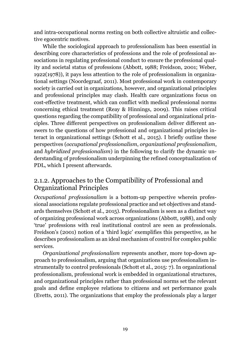and intra-occupational norms resting on both collective altruistic and collective egocentric motives.

While the sociological approach to professionalism has been essential in describing core characteristics of professions and the role of professional associations in regulating professional conduct to ensure the professional quality and societal status of professions (Abbott, 1988; Freidson, 2001; Weber, 1922(1978)), it pays less attention to the role of professionalism in organizational settings (Noordegraaf, 2011). Most professional work in contemporary society is carried out in organizations, however, and organizational principles and professional principles may clash. Health care organizations focus on cost-effective treatment, which can conflict with medical professional norms concerning ethical treatment (Reay & Hinnings, 2009). This raises critical questions regarding the compatibility of professional and organizational principles. Three different perspectives on professionalism deliver different answers to the questions of how professional and organizational principles interact in organizational settings (Schott et al., 2015). I briefly outline these perspectives (*occupational professionalism*, *organizational professionalism*, and *hybridized professionalism*) in the following to clarify the dynamic understanding of professionalism underpinning the refined conceptualization of PDL, which I present afterwards.

#### <span id="page-18-0"></span>2.1.2. Approaches to the Compatibility of Professional and Organizational Principles

*Occupational professionalism* is a bottom-up perspective wherein professional associations regulate professional practice and set objectives and standards themselves (Schott et al., 2015). Professionalism is seen as a distinct way of organizing professional work across organizations (Abbott, 1988), and only 'true' professions with real institutional control are seen as professionals. Freidson's (2001) notion of a 'third logic' exemplifies this perspective, as he describes professionalism as an ideal mechanism of control for complex public services.

*Organizational professionalism* represents another, more top-down approach to professionalism, arguing that organizations use professionalism instrumentally to control professionals (Schott et al., 2015: 7). In organizational professionalism, professional work is embedded in organizational structures, and organizational principles rather than professional norms set the relevant goals and define employee relations to citizens and set performance goals (Evetts, 2011). The organizations that employ the professionals play a larger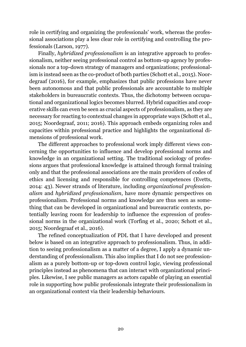role in certifying and organizing the professionals' work, whereas the professional associations play a less clear role in certifying and controlling the professionals (Larson, 1977).

Finally, *hybridized professionalism* is an integrative approach to professionalism, neither seeing professional control as bottom-up agency by professionals nor a top-down strategy of managers and organizations; professionalism is instead seen as the co-product of both parties (Schott et al., 2015). Noordegraaf (2016), for example, emphasizes that public professions have never been autonomous and that public professionals are accountable to multiple stakeholders in bureaucratic contexts. Thus, the dichotomy between occupational and organizational logics becomes blurred. Hybrid capacities and cooperative skills can even be seen as crucial aspects of professionalism, as they are necessary for reacting to contextual changes in appropriate ways (Schott et al., 2015; Noordegraaf, 2011; 2016). This approach embeds organizing roles and capacities within professional practice and highlights the organizational dimensions of professional work.

The different approaches to professional work imply different views concerning the opportunities to influence and develop professional norms and knowledge in an organizational setting. The traditional sociology of professions argues that professional knowledge is attained through formal training only and that the professional associations are the main providers of codes of ethics and licensing and responsible for controlling competences (Evetts, 2014: 43). Newer strands of literature, including *organizational professionalism* and *hybridized professionalism*, have more dynamic perspectives on professionalism. Professional norms and knowledge are thus seen as something that can be developed in organizational and bureaucratic contexts, potentially leaving room for leadership to influence the expression of professional norms in the organizational work (Torfing et al., 2020; Schott et al., 2015; Noordegraaf et al., 2016).

The refined conceptualization of PDL that I have developed and present below is based on an integrative approach to professionalism. Thus, in addition to seeing professionalism as a matter of a degree, I apply a dynamic understanding of professionalism. This also implies that I do not see professionalism as a purely bottom-up or top-down control logic, viewing professional principles instead as phenomena that can interact with organizational principles. Likewise, I see public managers as actors capable of playing an essential role in supporting how public professionals integrate their professionalism in an organizational context via their leadership behaviours.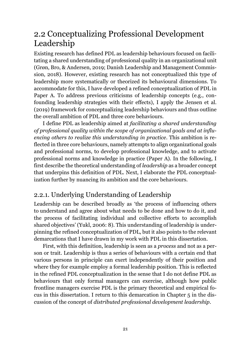### <span id="page-20-0"></span>2.2 Conceptualizing Professional Development Leadership

Existing research has defined PDL as leadership behaviours focused on facilitating a shared understanding of professional quality in an organizational unit (Grøn, Bro, & Andersen, 2019; Danish Leadership and Management Commission, 2018). However, existing research has not conceptualized this type of leadership more systematically or theorized its behavioural dimensions. To accommodate for this, I have developed a refined conceptualization of PDL in Paper A. To address previous criticisms of leadership concepts (e.g., confounding leadership strategies with their effects), I apply the Jensen et al. (2019) framework for conceptualizing leadership behaviours and thus outline the overall ambition of PDL and three core behaviours.

I define PDL as leadership aimed at *facilitating a shared understanding of professional quality within the scope of organizational goals and at influencing others to realize this understanding in practice*. This ambition is reflected in three core behaviours, namely attempts to align organizational goals and professional norms, to develop professional knowledge, and to activate professional norms and knowledge in practice (Paper A). In the following, I first describe the theoretical understanding of *leadership* as a broader concept that underpins this definition of PDL. Next, I elaborate the PDL conceptualization further by nuancing its ambition and the core behaviours.

### <span id="page-20-1"></span>2.2.1. Underlying Understanding of Leadership

Leadership can be described broadly as 'the process of influencing others to understand and agree about what needs to be done and how to do it, and the process of facilitating individual and collective efforts to accomplish shared objectives' (Yukl, 2006: 8). This understanding of leadership is underpinning the refined conceptualization of PDL, but it also points to the relevant demarcations that I have drawn in my work with PDL in this dissertation.

First, with this definition, leadership is seen as a *process* and not as a person or trait. Leadership is thus a series of behaviours with a certain end that various persons in principle can exert independently of their position and where they for example employ a formal leadership position. This is reflected in the refined PDL conceptualization in the sense that I do not define PDL as behaviours that only formal managers can exercise, although how public frontline managers exercise PDL is the primary theoretical and empirical focus in this dissertation. I return to this demarcation in Chapter 5 in the discussion of the concept of *distributed professional development leadership*.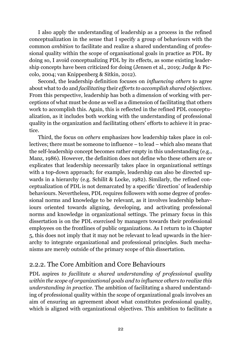I also apply the understanding of leadership as a process in the refined conceptualization in the sense that I specify a group of behaviours with the common *ambition* to facilitate and realize a shared understanding of professional quality within the scope of organisational goals in practice as PDL. By doing so, I avoid conceptualizing PDL by its effects, as some existing leadership concepts have been criticized for doing (Jensen et al., 2019; Judge & Piccolo, 2004; van Knippenberg & Sitkin, 2012).

Second, the leadership definition focuses on *influencing others* to agree about what to do and *facilitating* their *efforts to accomplish shared objectives*. From this perspective, leadership has both a dimension of working with perceptions of what must be done as well as a dimension of facilitating that others work to accomplish this. Again, this is reflected in the refined PDL conceptualization, as it includes both working with the understanding of professional quality in the organization and facilitating others' efforts to achieve it in practice.

Third, the focus on *others* emphasizes how leadership takes place in collectives; there must be someone to influence – to lead – which also means that the self-leadership concept becomes rather empty in this understanding (e.g., Manz, 1986). However, the definition does not define who these others are or explicates that leadership necessarily takes place in organizational settings with a top-down approach; for example, leadership can also be directed upwards in a hierarchy (e.g. Schilit & Locke, 1982). Similarly, the refined conceptualization of PDL is not demarcated by a specific 'direction' of leadership behaviours. Nevertheless, PDL requires followers with some degree of professional norms and knowledge to be relevant, as it involves leadership behaviours oriented towards aligning, developing, and activating professional norms and knowledge in organizational settings. The primary focus in this dissertation is on the PDL exercised by managers towards their professional employees on the frontlines of public organizations. As I return to in Chapter 5, this does not imply that it may not be relevant to lead upwards in the hierarchy to integrate organizational and professional principles. Such mechanisms are merely outside of the primary scope of this dissertation.

### <span id="page-21-0"></span>2.2.2. The Core Ambition and Core Behaviours

PDL aspires *to facilitate a shared understanding of professional quality within the scope of organizational goals and to influence others to realize this understanding in practice*. The ambition of facilitating a shared understanding of professional quality within the scope of organizational goals involves an aim of ensuring an agreement about what constitutes professional quality, which is aligned with organizational objectives. This ambition to facilitate a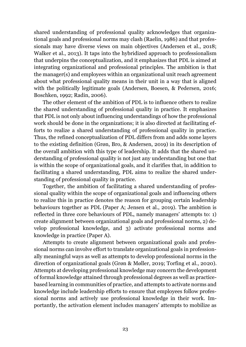shared understanding of professional quality acknowledges that organizational goals and professional norms may clash (Raelin, 1986) and that professionals may have diverse views on main objectives (Andersen et al., 2018; Walker et al., 2013). It taps into the hybridized approach to professionalism that underpins the conceptualization, and it emphasizes that PDL is aimed at integrating organizational and professional principles. The ambition is that the manager(s) and employees within an organizational unit reach agreement about what professional quality means in their unit in a way that is aligned with the politically legitimate goals (Andersen, Boesen, & Pedersen, 2016; Boschken, 1992; Radin, 2006).

The other element of the ambition of PDL is to influence others to realize the shared understanding of professional quality in practice. It emphasizes that PDL is not only about influencing understandings of how the professional work should be done in the organizations; it is also directed at facilitating efforts to realize a shared understanding of professional quality in practice. Thus, the refined conceptualization of PDL differs from and adds some layers to the existing definition (Grøn, Bro, & Andersen, 2019) in its description of the overall ambition with this type of leadership. It adds that the shared understanding of professional quality is not just any understanding but one that is within the scope of organizational goals, and it clarifies that, in addition to facilitating a shared understanding, PDL aims to realize the shared understanding of professional quality in practice.

Together, the ambition of facilitating a shared understanding of professional quality within the scope of organizational goals and influencing others to realize this in practice denotes the reason for grouping certain leadership behaviours together as PDL (Paper A; Jensen et al., 2019). The ambition is reflected in three core behaviours of PDL, namely managers' attempts to: 1) create alignment between organizational goals and professional norms, 2) develop professional knowledge, and 3) activate professional norms and knowledge in practice (Paper A).

Attempts to create alignment between organizational goals and professional norms can involve effort to translate organizational goals in professionally meaningful ways as well as attempts to develop professional norms in the direction of organizational goals (Grøn & Møller, 2019; Torfing et al., 2020). Attempts at developing professional knowledge may concern the development of formal knowledge attained through professional degrees as well as practicebased learning in communities of practice, and attempts to activate norms and knowledge include leadership efforts to ensure that employees follow professional norms and actively use professional knowledge in their work. Importantly, the activation element includes managers' attempts to mobilize as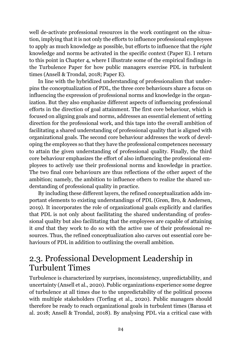well de-activate professional resources in the work contingent on the situation, implying that it is not only the efforts to influence professional employees to apply as much knowledge as possible, but efforts to influence that the *right* knowledge and norms be activated in the specific context (Paper E). I return to this point in Chapter 4, where I illustrate some of the empirical findings in the Turbulence Paper for how public managers exercise PDL in turbulent times (Ansell & Trondal, 2018; Paper E).

In line with the hybridized understanding of professionalism that underpins the conceptualization of PDL, the three core behaviours share a focus on influencing the expression of professional norms and knowledge in the organization. But they also emphasize different aspects of influencing professional efforts in the direction of goal attainment. The first core behaviour, which is focused on aligning goals and norms, addresses an essential element of setting direction for the professional work, and this taps into the overall ambition of facilitating a shared understanding of professional quality that is aligned with organizational goals. The second core behaviour addresses the work of developing the employees so that they have the professional competences necessary to attain the given understanding of professional quality. Finally, the third core behaviour emphasizes the effort of also influencing the professional employees to actively use their professional norms and knowledge in practice. The two final core behaviours are thus reflections of the other aspect of the ambition; namely, the ambition to influence others to realize the shared understanding of professional quality in practice.

By including these different layers, the refined conceptualization adds important elements to existing understandings of PDL (Grøn, Bro, & Andersen, 2019). It incorporates the role of organizational goals explicitly and clarifies that PDL is not only about facilitating the shared understanding of professional quality but also facilitating that the employees are capable of attaining it *and* that they work to do so with the active use of their professional resources. Thus, the refined conceptualization also carves out essential core behaviours of PDL in addition to outlining the overall ambition.

### <span id="page-23-0"></span>2.3. Professional Development Leadership in Turbulent Times

Turbulence is characterized by surprises, inconsistency, unpredictability, and uncertainty (Ansell et al., 2020). Public organizations experience some degree of turbulence at all times due to the unpredictability of the political process with multiple stakeholders (Torfing et al., 2020). Public managers should therefore be ready to reach organizational goals in turbulent times (Barasa et al. 2018; Ansell & Trondal, 2018). By analysing PDL via a critical case with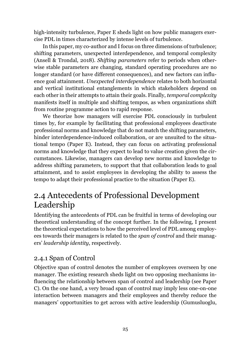high-intensity turbulence, Paper E sheds light on how public managers exercise PDL in times characterized by intense levels of turbulence.

In this paper, my co-author and I focus on three dimensions of turbulence; shifting parameters, unexpected interdependence, and temporal complexity (Ansell & Trondal, 2018). *Shifting parameters* refer to periods when otherwise stable parameters are changing, standard operating procedures are no longer standard (or have different consequences), and new factors can influence goal attainment. *Unexpected interdependence* relates to both horizontal and vertical institutional entanglements in which stakeholders depend on each other in their attempts to attain their goals. Finally, *temporal complexity* manifests itself in multiple and shifting tempos, as when organizations shift from routine programme action to rapid response.

We theorize how managers will exercise PDL consciously in turbulent times by, for example by facilitating that professional employees deactivate professional norms and knowledge that do not match the shifting parameters, hinder interdependence-induced collaboration, or are unsuited to the situational tempo (Paper E). Instead, they can focus on activating professional norms and knowledge that they expect to lead to value creation given the circumstances. Likewise, managers can develop new norms and knowledge to address shifting parameters, to support that that collaboration leads to goal attainment, and to assist employees in developing the ability to assess the tempo to adapt their professional practice to the situation (Paper E).

### <span id="page-24-0"></span>2.4 Antecedents of Professional Development Leadership

Identifying the antecedents of PDL can be fruitful in terms of developing our theoretical understanding of the concept further. In the following, I present the theoretical expectations to how the perceived level of PDL among employees towards their managers is related to the *span of control* and their managers' *leadership identity*, respectively.

### <span id="page-24-1"></span>2.4.1 Span of Control

Objective span of control denotes the number of employees overseen by one manager. The existing research sheds light on two opposing mechanisms influencing the relationship between span of control and leadership (see Paper C). On the one hand, a very broad span of control may imply less one-on-one interaction between managers and their employees and thereby reduce the managers' opportunities to get across with active leadership (Gumusluoglu,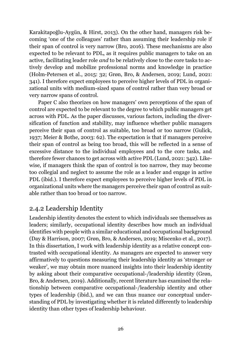Karakitapoğlu-Aygün, & Hirst, 2013). On the other hand, managers risk becoming 'one of the colleagues' rather than assuming their leadership role if their span of control is very narrow (Bro, 2016). These mechanisms are also expected to be relevant to PDL, as it requires public managers to take on an active, facilitating leader role *and* to be relatively close to the core tasks to actively develop and mobilize professional norms and knowledge in practice (Holm-Petersen et al., 2015: 32; Grøn, Bro, & Andersen, 2019; Lund, 2021: 341). I therefore expect employees to perceive higher levels of PDL in organizational units with medium-sized spans of control rather than very broad or very narrow spans of control.

Paper C also theorizes on how managers' own perceptions of the span of control are expected to be relevant to the degree to which public managers get across with PDL. As the paper discusses, various factors, including the diversification of function and stability, may influence whether public managers perceive their span of control as suitable, too broad or too narrow (Gulick, 1937; Meier & Bothe, 2003: 62). The expectation is that if managers perceive their span of control as being too broad, this will be reflected in a sense of excessive distance to the individual employees and to the core tasks, and therefore fewer chances to get across with active PDL (Lund, 2021: 342). Likewise, if managers think the span of control is too narrow, they may become too collegial and neglect to assume the role as a leader and engage in active PDL (ibid.). I therefore expect employees to perceive higher levels of PDL in organizational units where the managers perceive their span of control as suitable rather than too broad or too narrow.

### <span id="page-25-0"></span>2.4.2 Leadership Identity

Leadership identity denotes the extent to which individuals see themselves as leaders; similarly, occupational identity describes how much an individual identifies with people with a similar educational and occupational background (Day & Harrison, 2007; Grøn, Bro, & Andersen, 2019; Miscenko et al., 2017). In this dissertation, I work with leadership identity as a relative concept contrasted with occupational identity. As managers are expected to answer very affirmatively to questions measuring their leadership identity as 'stronger or weaker', we may obtain more nuanced insights into their leadership identity by asking about their comparative occupational-/leadership identity (Grøn, Bro, & Andersen, 2019). Additionally, recent literature has examined the relationship between comparative occupational-/leadership identity and other types of leadership (ibid.), and we can thus nuance our conceptual understanding of PDL by investigating whether it is related differently to leadership identity than other types of leadership behaviour.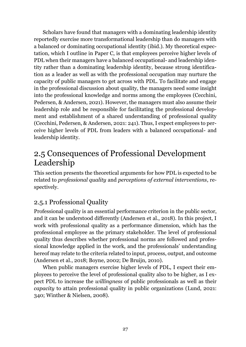Scholars have found that managers with a dominating leadership identity reportedly exercise more transformational leadership than do managers with a balanced or dominating occupational identity (ibid.). My theoretical expectation, which I outline in Paper C, is that employees perceive higher levels of PDL when their managers have a balanced occupational- and leadership identity rather than a dominating leadership identity, because strong identification as a leader as well as with the professional occupation may nurture the capacity of public managers to get across with PDL. To facilitate and engage in the professional discussion about quality, the managers need some insight into the professional knowledge and norms among the employees (Cecchini, Pedersen, & Andersen, 2021). However, the managers must also assume their leadership role and be responsible for facilitating the professional development and establishment of a shared understanding of professional quality (Cecchini, Pedersen, & Andersen, 2021: 241). Thus, I expect employees to perceive higher levels of PDL from leaders with a balanced occupational- and leadership identity.

### <span id="page-26-0"></span>2.5 Consequences of Professional Development Leadership

This section presents the theoretical arguments for how PDL is expected to be related to *professional quality* and *perceptions of external interventions*, respectively.

### <span id="page-26-1"></span>2.5.1 Professional Quality

Professional quality is an essential performance criterion in the public sector, and it can be understood differently (Andersen et al., 2018). In this project, I work with professional quality as a performance dimension, which has the professional employee as the primary stakeholder. The level of professional quality thus describes whether professional norms are followed and professional knowledge applied in the work, and the professionals' understanding hereof may relate to the criteria related to input, process, output, and outcome (Andersen et al., 2018; Boyne, 2002; De Bruijn, 2010).

When public managers exercise higher levels of PDL, I expect their employees to perceive the level of professional quality also to be higher, as I expect PDL to increase the *willingness* of public professionals as well as their *capacity* to attain professional quality in public organizations (Lund, 2021: 340; Winther & Nielsen, 2008).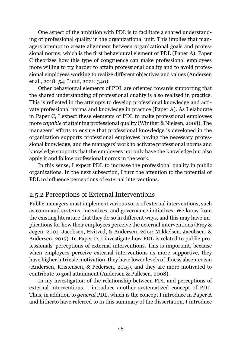One aspect of the ambition with PDL is to facilitate a shared understanding of professional quality in the organizational unit. This implies that managers attempt to create alignment between organizational goals and professional norms, which is the first behavioural element of PDL (Paper A). Paper C theorizes how this type of congruence can make professional employees more willing to try harder to attain professional quality and to avoid professional employees working to realize different objectives and values (Andersen et al., 2018: 54; Lund, 2021: 340).

Other behavioural elements of PDL are oriented towards supporting that the shared understanding of professional quality is also realized in practice. This is reflected in the attempts to develop professional knowledge and activate professional norms and knowledge in practice (Paper A). As I elaborate in Paper C, I expect these elements of PDL to make professional employees more *capable* of attaining professional quality (Winther & Nielsen, 2008). The managers' efforts to ensure that professional knowledge is developed in the organization supports professional employees having the necessary professional knowledge, and the managers' work to activate professional norms and knowledge supports that the employees not only have the knowledge but also apply it and follow professional norms in the work.

In this sense, I expect PDL to increase the professional quality in public organizations. In the next subsection, I turn the attention to the potential of PDL to influence perceptions of external interventions.

#### <span id="page-27-0"></span>2.5.2 Perceptions of External Interventions

Public managers must implement various sorts of external interventions, such as command systems, incentives, and governance initiatives. We know from the existing literature that they do so in different ways, and this may have implications for how their employees perceive the external interventions (Frey & Jegen, 2001; Jacobsen, Hvitved, & Andersen, 2014; Mikkelsen, Jacobsen, & Andersen, 2015). In Paper D, I investigate how PDL is related to public professionals' perceptions of external interventions. This is important, because when employees perceive external interventions as more supportive, they have higher intrinsic motivation, they have lower levels of illness absenteeism (Andersen, Kristensen, & Pedersen, 2015), and they are more motivated to contribute to goal attainment (Andersen & Pallesen, 2008).

In my investigation of the relationship between PDL and perceptions of external interventions, I introduce another systematized concept of PDL. Thus, in addition to *general* PDL, which is the concept I introduce in Paper A and hitherto have referred to in this summary of the dissertation, I introduce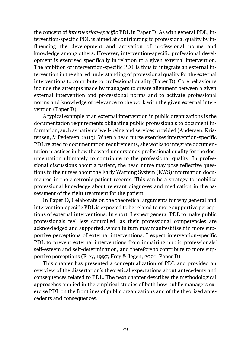the concept of *intervention-specific* PDL in Paper D. As with general PDL, intervention-specific PDL is aimed at contributing to professional quality by influencing the development and activation of professional norms and knowledge among others. However, intervention-specific professional development is exercised specifically in relation to a given external intervention. The ambition of intervention-specific PDL is thus to integrate an external intervention in the shared understanding of professional quality for the external interventions to contribute to professional quality (Paper D). Core behaviours include the attempts made by managers to create alignment between a given external intervention and professional norms and to activate professional norms and knowledge of relevance to the work with the given external intervention (Paper D).

A typical example of an external intervention in public organizations is the documentation requirements obligating public professionals to document information, such as patients' well-being and services provided (Andersen, Kristensen, & Pedersen, 2015). When a head nurse exercises intervention-specific PDL related to documentation requirements, she works to integrate documentation practices in how the ward understands professional quality for the documentation ultimately to contribute to the professional quality. In professional discussions about a patient, the head nurse may pose reflective questions to the nurses about the Early Warning System (EWS) information documented in the electronic patient records. This can be a strategy to mobilize professional knowledge about relevant diagnoses and medication in the assessment of the right treatment for the patient.

In Paper D, I elaborate on the theoretical arguments for why general and intervention-specific PDL is expected to be related to more supportive perceptions of external interventions. In short, I expect general PDL to make public professionals feel less controlled, as their professional competencies are acknowledged and supported, which in turn may manifest itself in more supportive perceptions of external interventions. I expect intervention-specific PDL to prevent external interventions from impairing public professionals' self-esteem and self-determination, and therefore to contribute to more supportive perceptions (Frey, 1997; Frey & Jegen, 2001; Paper D).

This chapter has presented a conceptualization of PDL and provided an overview of the dissertation's theoretical expectations about antecedents and consequences related to PDL. The next chapter describes the methodological approaches applied in the empirical studies of both how public managers exercise PDL on the frontlines of public organizations and of the theorized antecedents and consequences.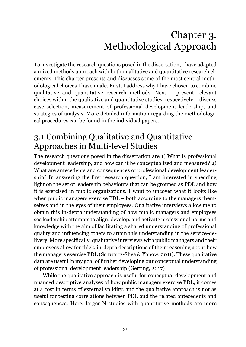## Chapter 3. Methodological Approach

<span id="page-30-0"></span>To investigate the research questions posed in the dissertation, I have adapted a mixed methods approach with both qualitative and quantitative research elements. This chapter presents and discusses some of the most central methodological choices I have made. First, I address why I have chosen to combine qualitative and quantitative research methods. Next, I present relevant choices within the qualitative and quantitative studies, respectively. I discuss case selection, measurement of professional development leadership, and strategies of analysis. More detailed information regarding the methodological procedures can be found in the individual papers.

### <span id="page-30-1"></span>3.1 Combining Qualitative and Quantitative Approaches in Multi-level Studies

The research questions posed in the dissertation are 1) What is professional development leadership, and how can it be conceptualized and measured? 2) What are antecedents and consequences of professional development leadership? In answering the first research question, I am interested in shedding light on the set of leadership behaviours that can be grouped as PDL and how it is exercised in public organizations. I want to uncover what it looks like when public managers exercise PDL – both according to the managers themselves and in the eyes of their employees. Qualitative interviews allow me to obtain this in-depth understanding of how public managers and employees see leadership attempts to align, develop, and activate professional norms and knowledge with the aim of facilitating a shared understanding of professional quality and influencing others to attain this understanding in the service-delivery. More specifically, qualitative interviews with public managers and their employees allow for thick, in-depth descriptions of their reasoning about how the managers exercise PDL (Schwartz-Shea & Yanow, 2011). These qualitative data are useful in my goal of further developing our conceptual understanding of professional development leadership (Gerring, 2017)

While the qualitative approach is useful for conceptual development and nuanced descriptive analyses of how public managers exercise PDL, it comes at a cost in terms of external validity, and the qualitative approach is not as useful for testing correlations between PDL and the related antecedents and consequences. Here, larger N-studies with quantitative methods are more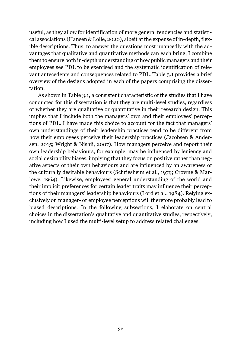useful, as they allow for identification of more general tendencies and statistical associations (Hansen & Lolle, 2020), albeit at the expense of in-depth, flexible descriptions. Thus, to answer the questions most nuancedly with the advantages that qualitative and quantitative methods can each bring, I combine them to ensure both in-depth understanding of how public managers and their employees see PDL to be exercised and the systematic identification of relevant antecedents and consequences related to PDL. Table 3.1 provides a brief overview of the designs adopted in each of the papers comprising the dissertation.

As shown in Table 3.1, a consistent characteristic of the studies that I have conducted for this dissertation is that they are multi-level studies, regardless of whether they are qualitative or quantitative in their research design. This implies that I include both the managers' own and their employees' perceptions of PDL. I have made this choice to account for the fact that managers' own understandings of their leadership practices tend to be different from how their employees perceive their leadership practices (Jacobsen & Andersen, 2015; Wright & Nishii, 2007). How managers perceive and report their own leadership behaviours, for example, may be influenced by leniency and social desirability biases, implying that they focus on positive rather than negative aspects of their own behaviours and are influenced by an awareness of the culturally desirable behaviours (Schriesheim et al., 1979; Crowne & Marlowe, 1964). Likewise, employees' general understanding of the world and their implicit preferences for certain leader traits may influence their perceptions of their managers' leadership behaviours (Lord et al., 1984). Relying exclusively on manager- or employee perceptions will therefore probably lead to biased descriptions. In the following subsections, I elaborate on central choices in the dissertation's qualitative and quantitative studies, respectively, including how I used the multi-level setup to address related challenges.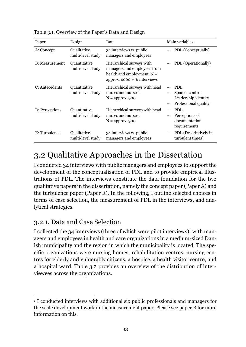| Paper                  | Design                            | Data                                                                                                                      | Main variables                                                               |
|------------------------|-----------------------------------|---------------------------------------------------------------------------------------------------------------------------|------------------------------------------------------------------------------|
| A: Concept             | Qualitative<br>multi-level study  | 34 interviews w. public<br>managers and employees                                                                         | PDL (Conceptually)                                                           |
| <b>B</b> : Measurement | Quantitative<br>multi-level study | Hierarchical surveys with<br>managers and employees from<br>health and employment. $N =$<br>approx. $4000 + 6$ interviews | PDL (Operationally)                                                          |
| C: Antecedents         | Quantitative<br>multi-level study | Hierarchical surveys with head<br>nurses and nurses.<br>$N =$ approx. 900                                                 | <b>PDL</b><br>Span of control<br>Leadership identity<br>Professional quality |
| D: Perceptions         | Quantitative<br>multi-level study | Hierarchical surveys with head<br>nurses and nurses.<br>$N =$ approx. 900                                                 | PDL<br>Perceptions of<br>documentation<br>requirements                       |
| E: Turbulence          | Qualitative<br>multi-level study  | 34 interviews w. public<br>managers and employees                                                                         | PDL (Descriptively in<br>turbulent times)                                    |

Table 3.1. Overview of the Paper's Data and Design

## <span id="page-32-0"></span>3.2 Qualitative Approaches in the Dissertation

I conducted 34 interviews with public managers and employees to support the development of the conceptualization of PDL and to provide empirical illustrations of PDL. The interviews constitute the data foundation for the two qualitative papers in the dissertation, namely the concept paper (Paper A) and the turbulence paper (Paper E). In the following, I outline selected choices in terms of case selection, the measurement of PDL in the interviews, and analytical strategies.

### <span id="page-32-1"></span>3.2.1. Data and Case Selection

I collected the 34 interviews (three of which were pilot interviews)<sup>1</sup> with managers and employees in health and care organizations in a medium-sized Danish municipality and the region in which the municipality is located. The specific organizations were nursing homes, rehabilitation centres, nursing centres for elderly and vulnerably citizens, a hospice, a health visitor centre, and a hospital ward. Table 3.2 provides an overview of the distribution of interviewees across the organizations.

 $\overline{a}$ <sup>1</sup> I conducted interviews with additional six public professionals and managers for the scale development work in the measurement paper. Please see paper B for more information on this.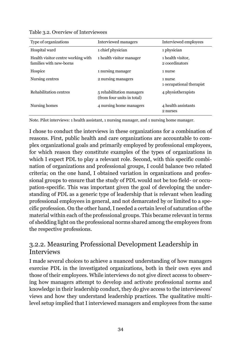| Type of organizations                                         | Interviewed managers                                    | Interviewed employees               |
|---------------------------------------------------------------|---------------------------------------------------------|-------------------------------------|
| Hospital ward                                                 | 1 chief physician                                       | 1 physician                         |
| Health visitor centre working with<br>families with new-borns | 1 health visitor manager                                | 1 health visitor,<br>2 coordinators |
| Hospice                                                       | 1 nursing manager                                       | 1 nurse                             |
| Nursing centres                                               | 2 nursing managers                                      | 1 nurse<br>1 occupational therapist |
| Rehabilitation centres                                        | 5 rehabilitation managers<br>(from four units in total) | 4 physiotherapists                  |
| Nursing homes                                                 | 4 nursing home managers                                 | 4 health assistants<br>2 nurses     |

Table 3.2. Overview of Interviewees

Note. Pilot interviews: 1 health assistant, 1 nursing manager, and 1 nursing home manager.

I chose to conduct the interviews in these organizations for a combination of reasons. First, public health and care organizations are accountable to complex organizational goals and primarily employed by professional employees, for which reason they constitute examples of the types of organizations in which I expect PDL to play a relevant role. Second, with this specific combination of organizations and professional groups, I could balance two related criteria; on the one hand, I obtained variation in organizations and professional groups to ensure that the study of PDL would not be too field- or occupation-specific. This was important given the goal of developing the understanding of PDL as a generic type of leadership that is relevant when leading professional employees in general, and not demarcated by or limited to a specific profession. On the other hand, I needed a certain level of saturation of the material within each of the professional groups. This became relevant in terms of shedding light on the professional norms shared among the employees from the respective professions.

#### <span id="page-33-0"></span>3.2.2. Measuring Professional Development Leadership in Interviews

I made several choices to achieve a nuanced understanding of how managers exercise PDL in the investigated organizations, both in their own eyes and those of their employees. While interviews do not give direct access to observing how managers attempt to develop and activate professional norms and knowledge in their leadership conduct, they do give access to the interviewees' views and how they understand leadership practices. The qualitative multilevel setup implied that I interviewed managers and employees from the same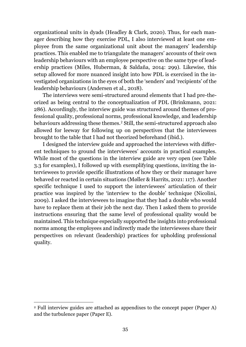organizational units in dyads (Headley & Clark, 2020). Thus, for each manager describing how they exercise PDL, I also interviewed at least one employee from the same organizational unit about the managers' leadership practices. This enabled me to triangulate the managers' accounts of their own leadership behaviours with an employee perspective on the same type of leadership practices (Miles, Huberman, & Saldaña, 2014: 299). Likewise, this setup allowed for more nuanced insight into how PDL is exercised in the investigated organizations in the eyes of both the 'senders' and 'recipients' of the leadership behaviours (Andersen et al., 2018).

The interviews were semi-structured around elements that I had pre-theorized as being central to the conceptualization of PDL (Brinkmann, 2021: 286). Accordingly, the interview guide was structured around themes of professional quality, professional norms, professional knowledge, and leadership behaviours addressing these themes.<sup>2</sup> Still, the semi-structured approach also allowed for leeway for following up on perspectives that the interviewees brought to the table that I had not theorized beforehand (ibid.).

I designed the interview guide and approached the interviews with different techniques to ground the interviewees' accounts in practical examples. While most of the questions in the interview guide are very open (see Table 3.3 for examples), I followed up with exemplifying questions, inviting the interviewees to provide specific illustrations of how they or their manager have behaved or reacted in certain situations (Møller & Harrits, 2021: 117). Another specific technique I used to support the interviewees' articulation of their practice was inspired by the 'interview to the double' technique (Nicolini, 2009). I asked the interviewees to imagine that they had a double who would have to replace them at their job the next day. Then I asked them to provide instructions ensuring that the same level of professional quality would be maintained. This technique especially supported the insights into professional norms among the employees and indirectly made the interviewees share their perspectives on relevant (leadership) practices for upholding professional quality.

 $\overline{a}$ 

<sup>2</sup> Full interview guides are attached as appendixes to the concept paper (Paper A) and the turbulence paper (Paper E).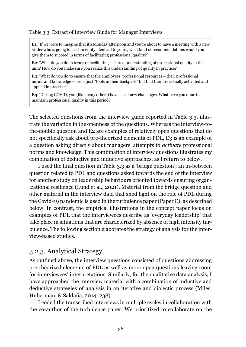#### Table 3.3. Extract of Interview Guide for Manager Interviews

**E1**: 'If we were to imagine that it's Monday afternoon and you're about to have a meeting with a new leader who is going to lead an entity identical to yours, what kind of recommendations would you give them to succeed in terms of facilitating professional quality?'

**E2**: 'What do you do in terms of facilitating a shared understanding of professional quality in the unit? How do you make sure you realize this understanding of quality in practice?'

**E3**: 'What do you do to ensure that the employees' professional resources – their professional norms and knowledge – aren't just "tools in their backpack" but that they are actually activated and applied in practice?'

**E4**: 'During COVID, you (like many others) have faced new challenges. What have you done to maintain professional quality in this period?'

The selected questions from the interview guide reported in Table 3.3. illustrate the variation in the openness of the questions. Whereas the interview-tothe-double question and E2 are examples of relatively open questions that do not specifically ask about pre-theorized elements of PDL, E3 is an example of a question asking directly about managers' attempts to *activate* professional norms and knowledge. This combination of interview questions illustrates my combination of deductive and inductive approaches, as I return to below.

I used the final question in Table 3.3 as a 'bridge question'; an in-between question related to PDL and questions asked towards the end of the interview for another study on leadership behaviours oriented towards ensuring organizational resilience (Lund et al., 2021). Material from the bridge question and other material in the interview data that shed light on the role of PDL during the Covid-19 pandemic is used in the turbulence paper (Paper E), as described below. In contrast, the empirical illustrations in the concept paper focus on examples of PDL that the interviewees describe as 'everyday leadership' that take place in situations that are characterized by absence of high intensity turbulence. The following section elaborates the strategy of analysis for the interview-based studies.

#### <span id="page-35-0"></span>3.2.3. Analytical Strategy

As outlined above, the interview questions consisted of questions addressing pre-theorized elements of PDL as well as more open questions leaving room for interviewees' interpretations. Similarly, for the qualitative data analysis, I have approached the interview material with a combination of inductive and deductive strategies of analysis in an iterative and dialectic process (Miles, Huberman, & Saldaña, 2014: 238).

I coded the transcribed interviews in multiple cycles in collaboration with the co-author of the turbulence paper. We prioritized to collaborate on the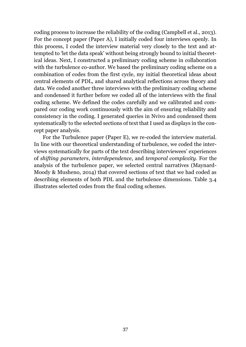coding process to increase the reliability of the coding (Campbell et al., 2013). For the concept paper (Paper A), I initially coded four interviews openly. In this process, I coded the interview material very closely to the text and attempted to 'let the data speak' without being strongly bound to initial theoretical ideas. Next, I constructed a preliminary coding scheme in collaboration with the turbulence co-author. We based the preliminary coding scheme on a combination of codes from the first cycle, my initial theoretical ideas about central elements of PDL, and shared analytical reflections across theory and data. We coded another three interviews with the preliminary coding scheme and condensed it further before we coded all of the interviews with the final coding scheme. We defined the codes carefully and we calibrated and compared our coding work continuously with the aim of ensuring reliability and consistency in the coding. I generated queries in Nvivo and condensed them systematically to the selected sections of text that I used as displays in the concept paper analysis.

For the Turbulence paper (Paper E), we re-coded the interview material. In line with our theoretical understanding of turbulence, we coded the interviews systematically for parts of the text describing interviewees' experiences of *shifting parameters*, *interdependence*, and *temporal complexity*. For the analysis of the turbulence paper, we selected central narratives (Maynard-Moody & Musheno, 2014) that covered sections of text that we had coded as describing elements of both PDL and the turbulence dimensions. Table 3.4 illustrates selected codes from the final coding schemes.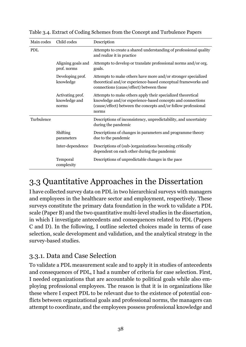| Main codes | Child codes                                | Description                                                                                                                                                                                          |
|------------|--------------------------------------------|------------------------------------------------------------------------------------------------------------------------------------------------------------------------------------------------------|
| <b>PDL</b> |                                            | Attempts to create a shared understanding of professional quality<br>and realize it in practice                                                                                                      |
|            | Aligning goals and<br>prof. norms          | Attempts to develop or translate professional norms and/or org.<br>goals.                                                                                                                            |
|            | Developing prof.<br>knowledge              | Attempts to make others have more and/or stronger specialized<br>theoretical and/or experience-based conceptual frameworks and<br>connections (cause/effect) between these                           |
|            | Activating prof.<br>knowledge and<br>norms | Attempts to make others apply their specialized theoretical<br>knowledge and/or experience-based concepts and connections<br>(cause/effect) between the concepts and/or follow professional<br>norms |
| Turbulence |                                            | Descriptions of inconsistency, unpredictability, and uncertainty<br>during the pandemic                                                                                                              |
|            | Shifting<br>parameters                     | Descriptions of changes in parameters and programme theory<br>due to the pandemic                                                                                                                    |
|            | Inter-dependence                           | Descriptions of (sub-)organizations becoming critically<br>dependent on each other during the pandemic                                                                                               |
|            | Temporal<br>complexity                     | Descriptions of unpredictable changes in the pace                                                                                                                                                    |

Table 3.4. Extract of Coding Schemes from the Concept and Turbulence Papers

# 3.3 Quantitative Approaches in the Dissertation

I have collected survey data on PDL in two hierarchical surveys with managers and employees in the healthcare sector and employment, respectively. These surveys constitute the primary data foundation in the work to validate a PDL scale (Paper B) and the two quantitative multi-level studies in the dissertation, in which I investigate antecedents and consequences related to PDL (Papers C and D). In the following, I outline selected choices made in terms of case selection, scale development and validation, and the analytical strategy in the survey-based studies.

### 3.3.1. Data and Case Selection

To validate a PDL measurement scale and to apply it in studies of antecedents and consequences of PDL, I had a number of criteria for case selection. First, I needed organizations that are accountable to political goals while also employing professional employees. The reason is that it is in organizations like these where I expect PDL to be relevant due to the existence of potential conflicts between organizational goals and professional norms, the managers can attempt to coordinate, and the employees possess professional knowledge and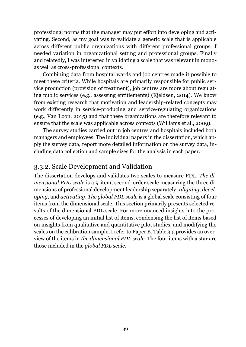professional norms that the manager may put effort into developing and activating. Second, as my goal was to validate a generic scale that is applicable across different public organizations with different professional groups, I needed variation in organizational setting and professional groups. Finally and relatedly, I was interested in validating a scale that was relevant in monoas well as cross-professional contexts.

Combining data from hospital wards and job centres made it possible to meet these criteria. While hospitals are primarily responsible for public service production (provision of treatment), job centres are more about regulating public services (e.g., assessing entitlements) (Kjeldsen, 2014). We know from existing research that motivation and leadership-related concepts may work differently in service-producing and service-regulating organizations (e.g., Van Loon, 2015) and that these organizations are therefore relevant to ensure that the scale was applicable across contexts (Williams et al., 2009).

The survey studies carried out in job centres and hospitals included both managers and employees. The individual papers in the dissertation, which apply the survey data, report more detailed information on the survey data, including data collection and sample sizes for the analysis in each paper.

#### 3.3.2. Scale Development and Validation

The dissertation develops and validates two scales to measure PDL. *The dimensional PDL scale* is a 9-item, second-order scale measuring the three dimensions of professional development leadership separately: *aligning, developing,* and *activating*. *The global PDL scale* is a global scale consisting of four items from the dimensional scale. This section primarily presents selected results of the dimensional PDL scale. For more nuanced insights into the processes of developing an initial list of items, condensing the list of items based on insights from qualitative and quantitative pilot studies, and modifying the scales on the calibration sample, I refer to Paper B. Table 3.5 provides an overview of the items in *the dimensional PDL scale*. The four items with a star are those included in the *global PDL scale*.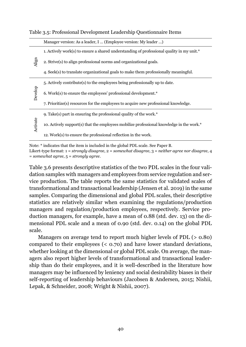|          | Manager version: As a leader, I  (Employee version: My leader )                           |  |  |  |  |
|----------|-------------------------------------------------------------------------------------------|--|--|--|--|
|          | 1. Actively work(s) to ensure a shared understanding of professional quality in my unit.* |  |  |  |  |
| Align    | 2. Strive(s) to align professional norms and organizational goals.                        |  |  |  |  |
|          | 4. Seek(s) to translate organizational goals to make them professionally meaningful.      |  |  |  |  |
| Develop  | 5. Actively contribute(s) to the employees being professionally up to date.               |  |  |  |  |
|          | 6. Work(s) to ensure the employees' professional development.*                            |  |  |  |  |
|          | 7. Prioritize(s) resources for the employees to acquire new professional knowledge.       |  |  |  |  |
|          | 9. Take(s) part in ensuring the professional quality of the work. $*$                     |  |  |  |  |
| Activate | 10. Actively support(s) that the employees mobilize professional knowledge in the work.*  |  |  |  |  |
|          | 12. Work(s) to ensure the professional reflection in the work.                            |  |  |  |  |

#### Table 3.5: Professional Development Leadership Questionnaire Items

Note: \* indicates that the item is included in the global PDL scale. See Paper B. Likert-type format: 1 = *strongly disagree*, 2 = *somewhat disagree*, 3 = *neither agree nor disagree*, 4 = *somewhat agree*, 5 = *strongly agree*.

Table 3.6 presents descriptive statistics of the two PDL scales in the four validation samples with managers and employees from service regulation and service production. The table reports the same statistics for validated scales of transformational and transactional leadership (Jensen et al. 2019) in the same samples. Comparing the dimensional and global PDL scales, their descriptive statistics are relatively similar when examining the regulations/production managers and regulation/production employees, respectively. Service production managers, for example, have a mean of 0.88 (std. dev. 13) on the dimensional PDL scale and a mean of 0.90 (std. dev. 0.14) on the global PDL scale.

Managers on average tend to report much higher levels of PDL (> 0.80) compared to their employees (< 0.70) and have lower standard deviations, whether looking at the dimensional or global PDL scale. On average, the managers also report higher levels of transformational and transactional leadership than do their employees, and it is well-described in the literature how managers may be influenced by leniency and social desirability biases in their self-reporting of leadership behaviours (Jacobsen & Andersen, 2015; Nishii, Lepak, & Schneider, 2008; Wright & Nishii, 2007).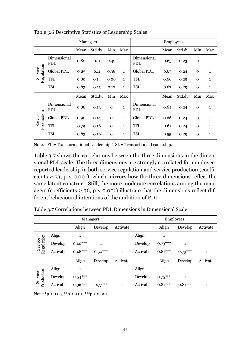| Managers              |                    |      |         |              | <b>Employees</b> |                    |      |         |              |              |
|-----------------------|--------------------|------|---------|--------------|------------------|--------------------|------|---------|--------------|--------------|
|                       |                    | Mean | Std.dv. | Min          | Max              |                    | Mean | Std.dv. | Min          | Max          |
|                       | Dimensional<br>PDL | 0.82 | 0.11    | 0.42         | $\mathbf{1}$     | Dimensional<br>PDL | 0.65 | 0.23    | $\mathbf 0$  | $\mathbf{1}$ |
|                       | Global PDL         | 0.85 | 0.11    | 0.38         | $\mathbf{1}$     | Global PDL         | 0.67 | 0.24    | $\mathbf{O}$ | $\mathbf{1}$ |
| Service<br>Regulation | <b>TFL</b>         | 0.80 | 0.14    | 0.06         | $\mathbf{1}$     | <b>TFL</b>         | 0.66 | 0.25    | $\mathbf{O}$ | $\mathbf{1}$ |
|                       | <b>TSL</b>         | 0.83 | 0.15    | 0.17         | $\mathbf{1}$     | <b>TSL</b>         | 0.67 | 0.29    | $\mathbf{O}$ | $\mathbf{1}$ |
|                       |                    | Mean | Std.dv. | Min          | Max              |                    | Mean | Std.dv. | Min          | Max          |
| Service<br>Production | Dimensional<br>PDL | 0.88 | 0.13    | $\mathbf 0$  | $\mathbf{1}$     | Dimensional<br>PDL | 0.64 | 0.24    | $\mathbf 0$  | $\mathbf{1}$ |
|                       | Global PDL         | 0.90 | 0.14    | $\mathbf{O}$ | $\mathbf{1}$     | Global PDL         | 0.66 | 0.24    | $\mathbf{O}$ | $\mathbf{1}$ |
|                       | <b>TFL</b>         | 0.79 | 0.16    | $\Omega$     | $\mathbf{1}$     | <b>TFL</b>         | 0.61 | 0.24    | $\mathbf{O}$ | $\mathbf{1}$ |
|                       | <b>TSL</b>         | 0.83 | 0.16    | $\Omega$     | 1                | <b>TSL</b>         | 0.55 | 0.29    | $\mathbf 0$  | 1            |

Table 3.6 Descriptive Statistics of Leadership Scales

Note. TFL = Transformational Leadership. TSL = Transactional Leadership.

Table 3.7 shows the correlations between the three dimensions in the dimensional PDL scale. The three dimensions are strongly correlated for employeereported leadership in both service regulation and service production (coefficients  $\geq$  73, p < 0.001), which mirrors how the three dimensions reflect the same latent construct. Still, the more moderate correlations among the managers (coefficients  $\geq$  36, p < 0.001) illustrate that the dimensions reflect different behavioural intentions of the ambition of PDL.

Table 3.7 Correlations between PDL Dimensions in Dimensional Scale

| Managers              |          |           |              |              | Employees |           |           |              |
|-----------------------|----------|-----------|--------------|--------------|-----------|-----------|-----------|--------------|
|                       |          | Align     | Develop      | Activate     |           | Align     | Develop   | Activate     |
| Regulation<br>Service | Align    |           |              |              | Align     | 1         |           |              |
|                       | Develop  | $0.40***$ | $\mathbf{1}$ |              | Develop   | $0.73***$ |           |              |
|                       | Activate | $0.48***$ | $0.50***$    | $\mathbf{1}$ | Activate  | $0.81***$ | $0.79***$ | $\mathbf{1}$ |
|                       |          | Align     | Develop      | Activate     |           | Align     | Develop   | Activate     |
| Service<br>Production | Align    | 1         |              |              | Align     | 1         |           |              |
|                       | Develop  | $0.54***$ | $\mathbf{1}$ |              | Develop   | $0.75***$ |           |              |
|                       | Activate | $0.36***$ | $0.77***$    | 1            | Activate  | $0.81***$ | $0.81***$ | 1            |

Note:  $*p < 0.05$ ,  $**p < 0.01$ ,  $***p < 0.001$ .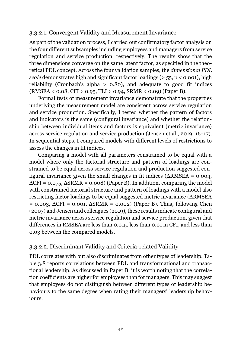#### 3.3.2.1. Convergent Validity and Measurement Invariance

As part of the validation process, I carried out confirmatory factor analysis on the four different subsamples including employees and managers from service regulation and service production, respectively. The results show that the three dimensions converge on the same latent factor, as specified in the theoretical PDL concept. Across the four validation samples, the *dimensional PDL scale* demonstrates high and significant factor loadings ( $> 55$ ,  $p < 0.001$ ), high reliability (Cronbach's alpha  $> 0.80$ ), and adequate to good fit indices (RMSEA < 0.08, CFI > 0.95, TLI > 0.94, SRMR < 0.09) (Paper B).

Formal tests of measurement invariance demonstrate that the properties underlying the measurement model are consistent across service regulation and service production. Specifically, I tested whether the pattern of factors and indicators is the same (configural invariance) and whether the relationship between individual items and factors is equivalent (metric invariance) across service regulation and service production (Jensen et al., 2019: 16–17). In sequential steps, I compared models with different levels of restrictions to assess the changes in fit indices.

Comparing a model with all parameters constrained to be equal with a model where only the factorial structure and pattern of loadings are constrained to be equal across service regulation and production suggested configural invariance given the small changes in fit indices ( $\Delta$ RMSEA = 0.004,  $\Delta$ CFI = 0.075,  $\Delta$ SRMR = 0.008) (Paper B). In addition, comparing the model with constrained factorial structure and pattern of loadings with a model also restricting factor loadings to be equal suggested metric invariance (ΔRMSEA  $= 0.003$ ,  $\Delta \text{CFI} = 0.001$ ,  $\Delta \text{SRMR} = 0.002$ ) (Paper B). Thus, following Chen (2007) and Jensen and colleagues (2019), these results indicate configural and metric invariance across service regulation and service production, given that differences in RMSEA are less than 0.015, less than 0.01 in CFI, and less than 0.03 between the compared models.

#### 3.3.2.2. Discriminant Validity and Criteria-related Validity

PDL correlates with but also discriminates from other types of leadership. Table 3.8 reports correlations between PDL and transformational and transactional leadership. As discussed in Paper B, it is worth noting that the correlation coefficients are higher for employees than for managers. This may suggest that employees do not distinguish between different types of leadership behaviours to the same degree when rating their managers' leadership behaviours.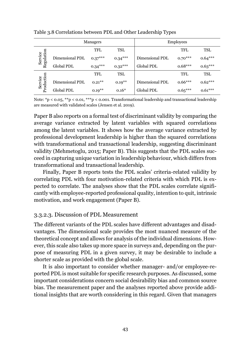|                       |                   | Managers   | <b>Employees</b> |                 |            |            |
|-----------------------|-------------------|------------|------------------|-----------------|------------|------------|
|                       |                   | <b>TFL</b> | TSL              |                 | <b>TFL</b> | <b>TSL</b> |
| Service<br>Regulation | Dimensional PDL   | $0.37***$  | $0.34***$        | Dimensional PDL | $0.70***$  | $0.64***$  |
|                       | Global PDL        | $0.34***$  | $0.32***$        | Global PDL      | $0.68***$  | $0.63***$  |
|                       |                   | TFL        | TSL              |                 | <b>TFL</b> | <b>TSL</b> |
| Service<br>Production | Dimensional PDL   | $0.21***$  | $0.19***$        | Dimensional PDL | $0.66***$  | $0.62***$  |
|                       | <b>Global PDL</b> | $0.19***$  | $0.16*$          | Global PDL      | $0.65***$  | $0.61***$  |

Table 3.8 Correlations between PDL and Other Leadership Types

Note: \*p < 0.05, \*\*p < 0.01, \*\*\*p < 0.001. Transformational leadership and transactional leadership are measured with validated scales (Jensen et al. 2019).

Paper B also reports on a formal test of discriminant validity by comparing the average variance extracted by latent variables with squared correlations among the latent variables. It shows how the average variance extracted by professional development leadership is higher than the squared correlations with transformational and transactional leadership, suggesting discriminant validity (Mehmetoglu, 2015; Paper B). This suggests that the PDL scales succeed in capturing unique variation in leadership behaviour, which differs from transformational and transactional leadership.

Finally, Paper B reports tests the PDL scales' criteria-related validity by correlating PDL with four motivation-related criteria with which PDL is expected to correlate. The analyses show that the PDL scales correlate significantly with employee-reported professional quality, intention to quit, intrinsic motivation, and work engagement (Paper B).

#### 3.3.2.3. Discussion of PDL Measurement

The different variants of the PDL scales have different advantages and disadvantages. The dimensional scale provides the most nuanced measure of the theoretical concept and allows for analysis of the individual dimensions. However, this scale also takes up more space in surveys and, depending on the purpose of measuring PDL in a given survey, it may be desirable to include a shorter scale as provided with the global scale.

It is also important to consider whether manager- and/or employee-reported PDL is most suitable for specific research purposes. As discussed, some important considerations concern social desirability bias and common source bias. The measurement paper and the analyses reported above provide additional insights that are worth considering in this regard. Given that managers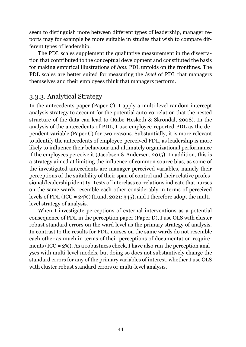seem to distinguish more between different types of leadership, manager reports may for example be more suitable in studies that wish to compare different types of leadership.

The PDL scales supplement the qualitative measurement in the dissertation that contributed to the conceptual development and constituted the basis for making empirical illustrations of *how* PDL unfolds on the frontlines. The PDL scales are better suited for measuring the *level* of PDL that managers themselves and their employees think that managers perform.

### 3.3.3. Analytical Strategy

In the antecedents paper (Paper C), I apply a multi-level random intercept analysis strategy to account for the potential auto-correlation that the nested structure of the data can lead to (Rabe-Hesketh & Skrondal, 2008). In the analysis of the antecedents of PDL, I use employee-reported PDL as the dependent variable (Paper C) for two reasons. Substantially, it is more relevant to identify the antecedents of employee-perceived PDL, as leadership is more likely to influence their behaviour and ultimately organizational performance if the employees perceive it (Jacobsen & Andersen, 2015). In addition, this is a strategy aimed at limiting the influence of common source bias, as some of the investigated antecedents are manager-perceived variables, namely their perceptions of the suitability of their span of control and their relative professional/leadership identity. Tests of interclass correlations indicate that nurses on the same wards resemble each other considerably in terms of perceived levels of PDL (ICC = 24%) (Lund, 2021: 345), and I therefore adopt the multilevel strategy of analysis.

When I investigate perceptions of external interventions as a potential consequence of PDL in the perception paper (Paper D), I use OLS with cluster robust standard errors on the ward level as the primary strategy of analysis. In contrast to the results for PDL, nurses on the same wards do not resemble each other as much in terms of their perceptions of documentation requirements (ICC =  $2\%$ ). As a robustness check, I have also run the perception analyses with multi-level models, but doing so does not substantively change the standard errors for any of the primary variables of interest, whether I use OLS with cluster robust standard errors or multi-level analysis.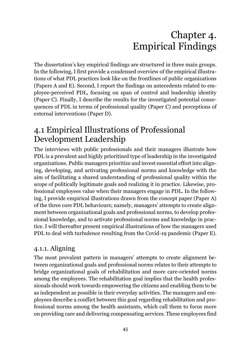# Chapter 4. Empirical Findings

The dissertation's key empirical findings are structured in three main groups. In the following, I first provide a condensed overview of the empirical illustrations of what PDL practices look like on the frontlines of public organizations (Papers A and E). Second, I report the findings on antecedents related to employee-perceived PDL, focusing on span of control and leadership identity (Paper C). Finally, I describe the results for the investigated potential consequences of PDL in terms of professional quality (Paper C) and perceptions of external interventions (Paper D).

# 4.1 Empirical Illustrations of Professional Development Leadership

The interviews with public professionals and their managers illustrate how PDL is a prevalent and highly prioritized type of leadership in the investigated organizations. Public managers prioritize and invest essential effort into aligning, developing, and activating professional norms and knowledge with the aim of facilitating a shared understanding of professional quality within the scope of politically legitimate goals and realizing it in practice. Likewise, professional employees value when their managers engage in PDL. In the following, I provide empirical illustrations drawn from the concept paper (Paper A) of the three core PDL behaviours; namely, managers' attempts to create alignment between organizational goals and professional norms, to develop professional knowledge, and to activate professional norms and knowledge in practice. I will thereafter present empirical illustrations of how the managers used PDL to deal with turbulence resulting from the Covid-19 pandemic (Paper E).

### 4.1.1. Aligning

The most prevalent pattern in managers' attempts to create alignment between organizational goals and professional norms relates to their attempts to bridge organizational goals of rehabilitation and more care-oriented norms among the employees. The rehabilitation goal implies that the health professionals should work towards empowering the citizens and enabling them to be as independent as possible in their everyday activities. The managers and employees describe a conflict between this goal regarding rehabilitation and professional norms among the health assistants, which call them to focus more on providing care and delivering compensating services. These employees find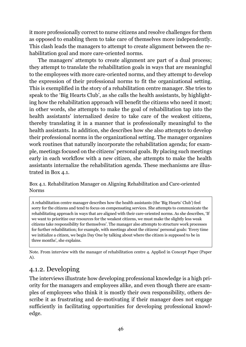it more professionally correct to nurse citizens and resolve challenges for them as opposed to enabling them to take care of themselves more independently. This clash leads the managers to attempt to create alignment between the rehabilitation goal and more care-oriented norms.

The managers' attempts to create alignment are part of a dual process; they attempt to translate the rehabilitation goals in ways that are meaningful to the employees with more care-oriented norms, and they attempt to develop the expression of their professional norms to fit the organizational setting. This is exemplified in the story of a rehabilitation centre manager. She tries to speak to the 'Big Hearts Club', as she calls the health assistants, by highlighting how the rehabilitation approach will benefit the citizens who need it most; in other words, she attempts to make the goal of rehabilitation tap into the health assistants' internalized desire to take care of the weakest citizens, thereby translating it in a manner that is professionally meaningful to the health assistants. In addition, she describes how she also attempts to develop their professional norms in the organizational setting. The manager organizes work routines that naturally incorporate the rehabilitation agenda; for example, meetings focused on the citizens' personal goals. By placing such meetings early in each workflow with a new citizen, she attempts to make the health assistants internalize the rehabilitation agenda. These mechanisms are illustrated in Box 4.1.

Box 4.1. Rehabilitation Manager on Aligning Rehabilitation and Care-oriented Norms

A rehabilitation centre manager describes how the health assistants (the 'Big Hearts' Club') feel sorry for the citizens and tend to focus on compensating services. She attempts to communicate the rehabilitating approach in ways that are aligned with their care-oriented norms. As she describes, 'If we want to prioritize our resources for the weakest citizens, we must make the slightly less weak citizens take responsibility for themselves'. The manager also attempts to structure work processes for further rehabilitation; for example, with meetings about the citizens' personal goals: 'Every time we initialize a citizen, we begin Day One by talking about where the citizen is supposed to be in three months', she explains.

Note. From interview with the manager of rehabilitation centre 4. Applied in Concept Paper (Paper A).

### 4.1.2. Developing

The interviews illustrate how developing professional knowledge is a high priority for the managers and employees alike, and even though there are examples of employees who think it is mostly their own responsibility, others describe it as frustrating and de-motivating if their manager does not engage sufficiently in facilitating opportunities for developing professional knowledge.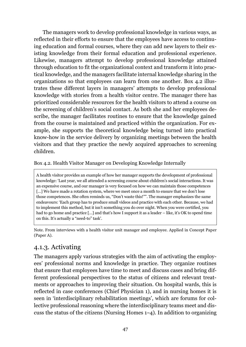The managers work to develop professional knowledge in various ways, as reflected in their efforts to ensure that the employees have access to continuing education and formal courses, where they can add new layers to their existing knowledge from their formal education and professional experience. Likewise, managers attempt to develop professional knowledge attained through education to fit the organizational context and transform it into practical knowledge, and the managers facilitate internal knowledge sharing in the organizations so that employees can learn from one another. Box 4.2 illustrates these different layers in managers' attempts to develop professional knowledge with stories from a health visitor centre. The manager there has prioritized considerable resources for the health visitors to attend a course on the screening of children's social contact. As both she and her employees describe, the manager facilitates routines to ensure that the knowledge gained from the course is maintained and practiced within the organization. For example, she supports the theoretical knowledge being turned into practical know-how in the service delivery by organizing meetings between the health visitors and that they practice the newly acquired approaches to screening children.

#### Box 4.2. Health Visitor Manager on Developing Knowledge Internally

A health visitor provides an example of how her manager supports the development of professional knowledge: 'Last year, we all attended a screening course about children's social interactions. It was an expensive course, and our manager is very focused on how we can maintain those competences [...] We have made a rotation system, where we meet once a month to ensure that we don't lose those competences. She often reminds us, "Don't waste this!"". The manager emphasizes the same endeavours: 'Each group has to produce small videos and practice with each other. Because, we had to implement this method, but it isn't something you do over night. When you were certified, you had to go home and practice [...] and that's how I support it as a leader – like, it's OK to spend time on this. It's actually a "need-to" task'.

Note. From interviews with a health visitor unit manager and employee. Applied in Concept Paper (Paper A).

#### 4.1.3. Activating

The managers apply various strategies with the aim of activating the employees' professional norms and knowledge in practice. They organize routines that ensure that employees have time to meet and discuss cases and bring different professional perspectives to the status of citizens and relevant treatments or approaches to improving their situation. On hospital wards, this is reflected in case conferences (Chief Physician 1), and in nursing homes it is seen in 'interdisciplinary rehabilitation meetings', which are forums for collective professional reasoning where the interdisciplinary teams meet and discuss the status of the citizens (Nursing Homes 1‒4). In addition to organizing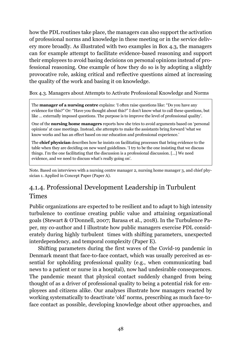how the PDL routines take place, the managers can also support the activation of professional norms and knowledge in these meeting or in the service delivery more broadly. As illustrated with two examples in Box 4.3, the managers can for example attempt to facilitate evidence-based reasoning and support their employees to avoid basing decisions on personal opinions instead of professional reasoning. One example of how they do so is by adopting a slightly provocative role, asking critical and reflective questions aimed at increasing the quality of the work and basing it on knowledge.

Box 4.3. Managers about Attempts to Activate Professional Knowledge and Norms

The **manager of a nursing centre** explains: 'I often raise questions like: "Do you have any evidence for this?" Or: "Have you thought about this?" I don't know what to call these questions, but like … externally imposed questions. The purpose is to improve the level of professional quality'.

One of the **nursing home managers** reports how she tries to avoid arguments based on 'personal opinions' at case meetings. Instead, she attempts to make the assistants bring forward 'what we know works and has an effect based on our education and professional experience.'

The **chief physician** describes how he insists on facilitating processes that bring evidence to the table when they are deciding on new ward guidelines. 'I try to be the one insisting that we discuss things. I'm the one facilitating that the discussion is a professional discussion. […] We need evidence, and we need to discuss what's really going on'.

Note. Based on interviews with a nursing centre manager 2, nursing home manager 3, and chief physician 1. Applied in Concept Paper (Paper A).

### 4.1.4. Professional Development Leadership in Turbulent Times

Public organizations are expected to be resilient and to adapt to high intensity turbulence to continue creating public value and attaining organizational goals (Stewart & O'Donnell, 2007; Barasa et al., 2018). In the Turbulence Paper, my co-author and I illustrate how public managers exercise PDL considerately during highly turbulent times with shifting parameters, unexpected interdependency, and temporal complexity (Paper E).

Shifting parameters during the first waves of the Covid-19 pandemic in Denmark meant that face-to-face contact, which was usually perceived as essential for upholding professional quality (e.g., when communicating bad news to a patient or nurse in a hospital), now had undesirable consequences. The pandemic meant that physical contact suddenly changed from being thought of as a driver of professional quality to being a potential risk for employees and citizens alike. Our analyses illustrate how managers reacted by working systematically to deactivate 'old' norms, prescribing as much face-toface contact as possible, developing knowledge about other approaches, and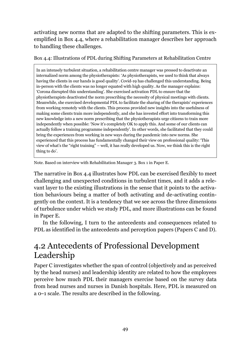activating new norms that are adapted to the shifting parameters. This is exemplified in Box 4.4, where a rehabilitation manager describes her approach to handling these challenges.

Box 4.4: Illustrations of PDL during Shifting Parameters at Rehabilitation Centre

In an intensely turbulent situation, a rehabilitation centre manager was pressed to deactivate an internalized norm among the physiotherapists: 'As physiotherapists, we used to think that always having the clients in our hands is good quality'. Covid-19 has challenged this understanding. Being in-person with the clients was no longer equated with high quality. As the manager explains: 'Corona disrupted this understanding'. She exercised activation PDL to ensure that the physiotherapists deactivated the norm prescribing the necessity of physical meetings with clients. Meanwhile, she exercised developmental PDL to facilitate the sharing of the therapists' experiences from working remotely with the clients. This process provided new insights into the usefulness of making some clients train more independently, and she has invested effort into transforming this new knowledge into a new norm prescribing that the physiotherapists urge citizens to train more independently when possible: 'Now it's completely OK to apply this. And some of our clients can actually follow a training programme independently'. In other words, she facilitated that they could bring the experiences from working in new ways during the pandemic into new norms. She experienced that this process has fundamentally changed their view on professional quality: 'This view of what's the "right training" – well, it has really developed us. Now, we think this is the right thing to do'.

Note. Based on interview with Rehabilitation Manager 3. Box 1 in Paper E.

The narrative in Box 4.4 illustrates how PDL can be exercised flexibly to meet challenging and unexpected conditions in turbulent times, and it adds a relevant layer to the existing illustrations in the sense that it points to the activation behaviours being a matter of both activating and de-activating contingently on the context. It is a tendency that we see across the three dimensions of turbulence under which we study PDL, and more illustrations can be found in Paper E.

In the following, I turn to the antecedents and consequences related to PDL as identified in the antecedents and perception papers (Papers C and D).

# 4.2 Antecedents of Professional Development Leadership

Paper C investigates whether the span of control (objectively and as perceived by the head nurses) and leadership identity are related to how the employees perceive how much PDL their managers exercise based on the survey data from head nurses and nurses in Danish hospitals. Here, PDL is measured on a 0‒1 scale. The results are described in the following.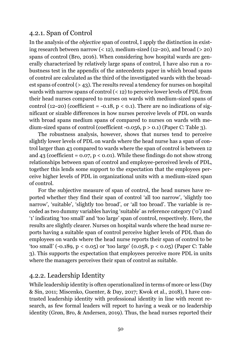### 4.2.1. Span of Control

In the analysis of the *objective* span of control, I apply the distinction in existing research between narrow  $($  < 12), medium-sized (12–20), and broad  $($  > 20) spans of control (Bro, 2016). When considering how hospital wards are generally characterized by relatively large spans of control, I have also run a robustness test in the appendix of the antecedents paper in which broad spans of control are calculated as the third of the investigated wards with the broadest spans of control (> 43). The results reveal a tendency for nurses on hospital wards with narrow spans of control (< 12) to perceive lower levels of PDL from their head nurses compared to nurses on wards with medium-sized spans of control (12–20) (coefficient = -0.18,  $p < 0.1$ ). There are no indications of significant or sizable differences in how nurses perceive levels of PDL on wards with broad spans medium spans of compared to nurses on wards with medium-sized spans of control (coefficient -0.056,  $p > 0.1$ ) (Paper C: Table 3).

The robustness analysis, however, shows that nurses tend to perceive slightly lower levels of PDL on wards where the head nurse has a span of control larger than 43 compared to wards where the span of control is between 12 and 43 (coefficient =  $0.07$ ,  $p < 0.01$ ). While these findings do not show strong relationships between span of control and employee-perceived levels of PDL, together this lends some support to the expectation that the employees perceive higher levels of PDL in organizational units with a medium-sized span of control.

For the subjective measure of span of control, the head nurses have reported whether they find their span of control 'all too narrow', 'slightly too narrow', 'suitable', 'slightly too broad', or 'all too broad'. The variable is recoded as two dummy variables having 'suitable' as reference category ('0') and '1' indicating 'too small' and 'too large' span of control, respectively. Here, the results are slightly clearer. Nurses on hospital wards where the head nurse reports having a suitable span of control perceive higher levels of PDL than do employees on wards where the head nurse reports their span of control to be 'too small' (-0.189, p < 0.05) or 'too large' (0.058, p < 0.05) (Paper C: Table 3). This supports the expectation that employees perceive more PDL in units where the managers perceives their span of control as suitable.

### 4.2.2. Leadership Identity

While leadership identity is often operationalized in terms of more or less (Day & Sin, 2011; Miscenko, Guenter, & Day, 2017; Kwok et al., 2018), I have contrasted leadership identity with professional identity in line with recent research, as few formal leaders will report to having a weak or no leadership identity (Grøn, Bro, & Andersen, 2019). Thus, the head nurses reported their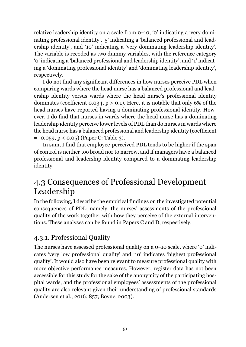relative leadership identity on a scale from 0‒10, '0' indicating a 'very dominating professional identity', '5' indicating a 'balanced professional and leadership identity', and '10' indicating a 'very dominating leadership identity'. The variable is recoded as two dummy variables, with the reference category '0' indicating a 'balanced professional and leadership identity', and '1' indicating a 'dominating professional identity' and 'dominating leadership identity', respectively.

I do not find any significant differences in how nurses perceive PDL when comparing wards where the head nurse has a balanced professional and leadership identity versus wards where the head nurse's professional identity dominates (coefficient 0.034,  $p > 0.1$ ). Here, it is notable that only 6% of the head nurses have reported having a dominating professional identity. However, I do find that nurses in wards where the head nurse has a dominating leadership identity perceive lower levels of PDL than do nurses in wards where the head nurse has a balanced professional and leadership identity (coefficient  $= -0.059$ ,  $p < 0.05$ ) (Paper C: Table 3).

In sum, I find that employee-perceived PDL tends to be higher if the span of control is neither too broad nor to narrow, and if managers have a balanced professional and leadership-identity compared to a dominating leadership identity.

## 4.3 Consequences of Professional Development Leadership

In the following, I describe the empirical findings on the investigated potential consequences of PDL; namely, the nurses' assessments of the professional quality of the work together with how they perceive of the external interventions. These analyses can be found in Papers C and D, respectively.

### 4.3.1. Professional Quality

The nurses have assessed professional quality on a  $o$ -10 scale, where 'o' indicates 'very low professional quality' and '10' indicates 'highest professional quality'. It would also have been relevant to measure professional quality with more objective performance measures. However, register data has not been accessible for this study for the sake of the anonymity of the participating hospital wards, and the professional employees' assessments of the professional quality are also relevant given their understanding of professional standards (Andersen et al., 2016: 857; Boyne, 2003).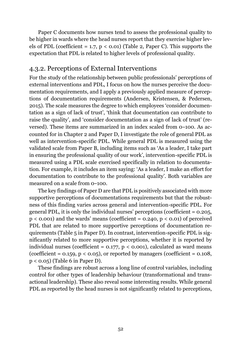Paper C documents how nurses tend to assess the professional quality to be higher in wards where the head nurses report that they exercise higher levels of PDL (coefficient = 1.7,  $p < 0.01$ ) (Table 2, Paper C). This supports the expectation that PDL is related to higher levels of professional quality.

### 4.3.2. Perceptions of External Interventions

For the study of the relationship between public professionals' perceptions of external interventions and PDL, I focus on how the nurses perceive the documentation requirements, and I apply a previously applied measure of perceptions of documentation requirements (Andersen, Kristensen, & Pedersen, 2015). The scale measures the degree to which employees 'consider documentation as a sign of lack of trust', 'think that documentation can contribute to raise the quality', and 'consider documentation as a sign of lack of trust' (reversed). These items are summarized in an index scaled from  $o$ -100. As accounted for in Chapter 2 and Paper D, I investigate the role of general PDL as well as intervention-specific PDL. While general PDL is measured using the validated scale from Paper B, including items such as 'As a leader, I take part in ensuring the professional quality of our work', intervention-specific PDL is measured using a PDL scale exercised specifically in relation to documentation. For example, it includes an item saying: 'As a leader, I make an effort for documentation to contribute to the professional quality'. Both variables are measured on a scale from  $o$ -100.

The key findings of Paper D are that PDL is positively associated with more supportive perceptions of documentations requirements but that the robustness of this finding varies across general and intervention-specific PDL. For general PDL, it is only the individual nurses' perceptions (coefficient  $= 0.205$ ,  $p < 0.001$ ) and the wards' means (coefficient = 0.240,  $p < 0.01$ ) of perceived PDL that are related to more supportive perceptions of documentation requirements (Table 5 in Paper D). In contrast, intervention-specific PDL is significantly related to more supportive perceptions, whether it is reported by individual nurses (coefficient =  $0.177$ ,  $p < 0.001$ ), calculated as ward means (coefficient =  $0.159$ ,  $p < 0.05$ ), or reported by managers (coefficient =  $0.108$ , p < 0.05) (Table 6 in Paper D).

These findings are robust across a long line of control variables, including control for other types of leadership behaviour (transformational and transactional leadership). These also reveal some interesting results. While general PDL as reported by the head nurses is not significantly related to perceptions,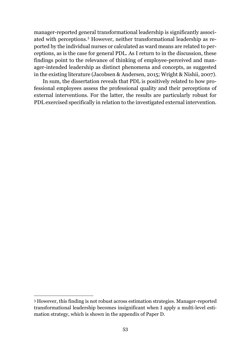manager-reported general transformational leadership is significantly associated with perceptions.<sup>3</sup> However, neither transformational leadership as reported by the individual nurses or calculated as ward means are related to perceptions, as is the case for general PDL. As I return to in the discussion, these findings point to the relevance of thinking of employee-perceived and manager-intended leadership as distinct phenomena and concepts, as suggested in the existing literature (Jacobsen & Andersen, 2015; Wright & Nishii, 2007).

In sum, the dissertation reveals that PDL is positively related to how professional employees assess the professional quality and their perceptions of external interventions. For the latter, the results are particularly robust for PDL exercised specifically in relation to the investigated external intervention.

 $\overline{a}$ 

<sup>3</sup> However, this finding is not robust across estimation strategies. Manager-reported transformational leadership becomes insignificant when I apply a multi-level estimation strategy, which is shown in the appendix of Paper D.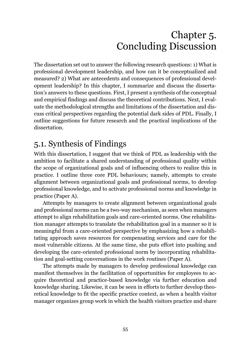# Chapter 5. Concluding Discussion

The dissertation set out to answer the following research questions: 1) What is professional development leadership, and how can it be conceptualized and measured? 2) What are antecedents and consequences of professional development leadership? In this chapter, I summarize and discuss the dissertation's answers to these questions. First, I present a synthesis of the conceptual and empirical findings and discuss the theoretical contributions. Next, I evaluate the methodological strengths and limitations of the dissertation and discuss critical perspectives regarding the potential dark sides of PDL. Finally, I outline suggestions for future research and the practical implications of the dissertation.

# 5.1. Synthesis of Findings

With this dissertation, I suggest that we think of PDL as leadership with the ambition to facilitate a shared understanding of professional quality within the scope of organizational goals and of influencing others to realize this in practice. I outline three core PDL behaviours; namely, attempts to create alignment between organizational goals and professional norms, to develop professional knowledge, and to activate professional norms and knowledge in practice (Paper A).

Attempts by managers to create alignment between organizational goals and professional norms can be a two-way mechanism, as seen when managers attempt to align rehabilitation goals and care-oriented norms. One rehabilitation manager attempts to translate the rehabilitation goal in a manner so it is meaningful from a care-oriented perspective by emphasizing how a rehabilitating approach saves resources for compensating services and care for the most vulnerable citizens. At the same time, she puts effort into pushing and developing the care-oriented professional norm by incorporating rehabilitation and goal-setting conversations in the work routines (Paper A).

The attempts made by managers to develop professional knowledge can manifest themselves in the facilitation of opportunities for employees to acquire theoretical and practice-based knowledge via further education and knowledge sharing. Likewise, it can be seen in efforts to further develop theoretical knowledge to fit the specific practice context, as when a health visitor manager organizes group work in which the health visitors practice and share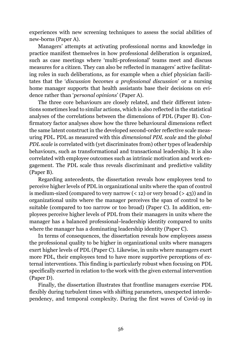experiences with new screening techniques to assess the social abilities of new-borns (Paper A).

Managers' attempts at activating professional norms and knowledge in practice manifest themselves in how professional deliberation is organized, such as case meetings where 'multi-professional' teams meet and discuss measures for a citizen. They can also be reflected in managers' active facilitating roles in such deliberations, as for example when a chief physician facilitates that the '*discussion becomes a professional discussion*' or a nursing home manager supports that health assistants base their decisions on evidence rather than '*personal opinions*' (Paper A).

The three core behaviours are closely related, and their different intentions sometimes lead to similar actions, which is also reflected in the statistical analyses of the correlations between the dimensions of PDL (Paper B). Confirmatory factor analyses show how the three behavioural dimensions reflect the same latent construct in the developed second-order reflective scale measuring PDL. PDL as measured with this *dimensional PDL scale* and the *global PDL scale* is correlated with (yet discriminates from) other types of leadership behaviours, such as transformational and transactional leadership. It is also correlated with employee outcomes such as intrinsic motivation and work engagement. The PDL scale thus reveals discriminant and predictive validity (Paper B).

Regarding antecedents, the dissertation reveals how employees tend to perceive higher levels of PDL in organizational units where the span of control is medium-sized (compared to very narrow  $($  < 12) or very broad  $($  > 43)) and in organizational units where the manager perceives the span of control to be suitable (compared to too narrow or too broad) (Paper C). In addition, employees perceive higher levels of PDL from their managers in units where the manager has a balanced professional–leadership identity compared to units where the manager has a dominating leadership identity (Paper C).

In terms of consequences, the dissertation reveals how employees assess the professional quality to be higher in organizational units where managers exert higher levels of PDL (Paper C). Likewise, in units where managers exert more PDL, their employees tend to have more supportive perceptions of external interventions. This finding is particularly robust when focusing on PDL specifically exerted in relation to the work with the given external intervention (Paper D).

Finally, the dissertation illustrates that frontline managers exercise PDL flexibly during turbulent times with shifting parameters, unexpected interdependency, and temporal complexity. During the first waves of Covid-19 in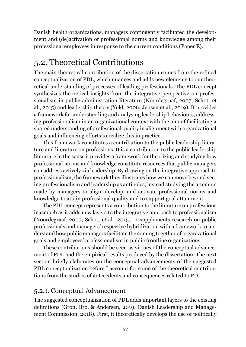Danish health organizations, managers contingently facilitated the development and (de)activation of professional norms and knowledge among their professional employees in response to the current conditions (Paper E).

# 5.2. Theoretical Contributions

The main theoretical contribution of the dissertation comes from the refined conceptualization of PDL, which nuances and adds new elements to our theoretical understanding of processes of leading professionals. The PDL concept synthesizes theoretical insights from the integrative perspective on professionalism in public administration literature (Noordegraaf, 2007; Schott et al., 2015) and leadership theory (Yukl, 2006; Jensen et al., 2019). It provides a framework for understanding and analysing leadership behaviours, addressing professionalism in an organizational context with the aim of facilitating a shared understanding of professional quality in alignment with organizational goals and influencing efforts to realize this in practice.

This framework constitutes a contribution to the public leadership literature and literature on professions. It is a contribution to the public leadership literature in the sense it provides a framework for theorizing and studying how professional norms and knowledge constitute resources that public managers can address actively via leadership. By drawing on the integrative approach to professionalism, the framework thus illustrates how we can move beyond seeing professionalism and leadership as antipoles, instead studying the attempts made by managers to align, develop, and activate professional norms and knowledge to attain professional quality and to support goal attainment.

The PDL concept represents a contribution to the literature on professions inasmuch as it adds new layers to the integrative approach to professionalism (Noordegraaf, 2007; Schott et al., 2015). It supplements research on public professionals and managers' respective hybridization with a framework to understand how public managers facilitate the coming together of organizational goals and employees' professionalism in public frontline organizations.

These contributions should be seen as virtues of the conceptual advancement of PDL and the empirical results produced by the dissertation. The next section briefly elaborates on the conceptual advancements of the suggested PDL conceptualization before I account for some of the theoretical contributions from the studies of antecedents and consequences related to PDL.

#### 5.2.1. Conceptual Advancement

The suggested conceptualization of PDL adds important layers to the existing definitions (Grøn, Bro, & Andersen, 2019; Danish Leadership and Management Commission, 2018). First, it theoretically develops the use of politically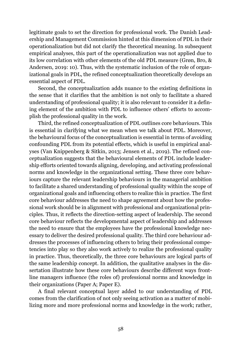legitimate goals to set the direction for professional work. The Danish Leadership and Management Commission hinted at this dimension of PDL in their operationalization but did not clarify the theoretical meaning. In subsequent empirical analyses, this part of the operationalization was not applied due to its low correlation with other elements of the old PDL measure (Grøn, Bro, & Andersen, 2019: 10). Thus, with the systematic inclusion of the role of organizational goals in PDL, the refined conceptualization theoretically develops an essential aspect of PDL.

Second, the conceptualization adds nuance to the existing definitions in the sense that it clarifies that the ambition is not only to facilitate a shared understanding of professional quality; it is also relevant to consider it a defining element of the ambition with PDL to influence others' efforts to accomplish the professional quality in the work.

Third, the refined conceptualization of PDL outlines core behaviours. This is essential in clarifying what we mean when we talk about PDL. Moreover, the behavioural focus of the conceptualization is essential in terms of avoiding confounding PDL from its potential effects, which is useful in empirical analyses (Van Knippenberg & Sitkin, 2013; Jensen et al., 2019). The refined conceptualization suggests that the behavioural elements of PDL include leadership efforts oriented towards aligning, developing, and activating professional norms and knowledge in the organizational setting. These three core behaviours capture the relevant leadership behaviours in the managerial ambition to facilitate a shared understanding of professional quality within the scope of organizational goals and influencing others to realize this in practice. The first core behaviour addresses the need to shape agreement about how the professional work should be in alignment with professional and organizational principles. Thus, it reflects the direction-setting aspect of leadership. The second core behaviour reflects the developmental aspect of leadership and addresses the need to ensure that the employees have the professional knowledge necessary to deliver the desired professional quality. The third core behaviour addresses the processes of influencing others to bring their professional competencies into play so they also work actively to realize the professional quality in practice. Thus, theoretically, the three core behaviours are logical parts of the same leadership concept. In addition, the qualitative analyses in the dissertation illustrate how these core behaviours describe different ways frontline managers influence (the roles of) professional norms and knowledge in their organizations (Paper A; Paper E).

A final relevant conceptual layer added to our understanding of PDL comes from the clarification of not only seeing activation as a matter of mobilizing more and more professional norms and knowledge in the work; rather,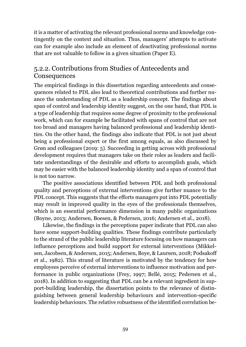it is a matter of activating the relevant professional norms and knowledge contingently on the context and situation. Thus, managers' attempts to activate can for example also include an element of *de*activating professional norms that are not valuable to follow in a given situation (Paper E).

### 5.2.2. Contributions from Studies of Antecedents and **Consequences**

The empirical findings in this dissertation regarding antecedents and consequences related to PDL also lead to theoretical contributions and further nuance the understanding of PDL as a leadership concept. The findings about span of control and leadership identity suggest, on the one hand, that PDL is a type of leadership that requires some degree of proximity to the professional work, which can for example be facilitated with spans of control that are not too broad and managers having balanced professional and leadership identities. On the other hand, the findings also indicate that PDL is not just about being a professional expert or the first among equals, as also discussed by Grøn and colleagues (2019: 5). Succeeding in getting across with professional development requires that managers take on their roles as leaders and facilitate understandings of the desirable and efforts to accomplish goals, which may be easier with the balanced leadership identity and a span of control that is not too narrow.

The positive associations identified between PDL and both professional quality and perceptions of external interventions give further nuance to the PDL concept. This suggests that the efforts managers put into PDL potentially may result in improved quality in the eyes of the professionals themselves, which is an essential performance dimension in many public organizations (Boyne, 2013; Andersen, Boesen, & Pedersen, 2016; Andersen et al., 2018).

Likewise, the findings in the perceptions paper indicate that PDL can also have some support-building qualities. These findings contribute particularly to the strand of the public leadership literature focusing on how managers can influence perceptions and build support for external interventions (Mikkelsen, Jacobsen, & Andersen, 2015; Andersen, Boye, & Laursen, 2018; Podsakoff et al., 1982). This strand of literature is motivated by the tendency for how employees perceive of external interventions to influence motivation and performance in public organizations (Frey, 1997; Bellé, 2015; Pedersen et al., 2018). In addition to suggesting that PDL can be a relevant ingredient in support-building leadership, the dissertation points to the relevance of distinguishing between general leadership behaviours and intervention-specific leadership behaviours. The relative robustness of the identified correlation be-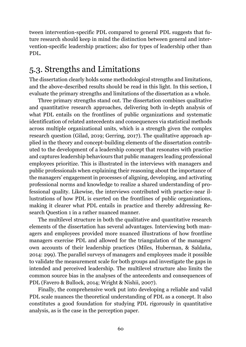tween intervention-specific PDL compared to general PDL suggests that future research should keep in mind the distinction between general and intervention-specific leadership practices; also for types of leadership other than PDL.

## 5.3. Strengths and Limitations

The dissertation clearly holds some methodological strengths and limitations, and the above-described results should be read in this light. In this section, I evaluate the primary strengths and limitations of the dissertation as a whole.

Three primary strengths stand out. The dissertation combines qualitative and quantitative research approaches, delivering both in-depth analysis of what PDL entails on the frontlines of public organizations and systematic identification of related antecedents and consequences via statistical methods across multiple organizational units, which is a strength given the complex research question (Gilad, 2019; Gerring, 2017). The qualitative approach applied in the theory and concept-building elements of the dissertation contributed to the development of a leadership concept that resonates with practice and captures leadership behaviours that public managers leading professional employees prioritize. This is illustrated in the interviews with managers and public professionals when explaining their reasoning about the importance of the managers' engagement in processes of aligning, developing, and activating professional norms and knowledge to realize a shared understanding of professional quality. Likewise, the interviews contributed with practice-near illustrations of how PDL is exerted on the frontlines of public organizations, making it clearer what PDL entails in practice and thereby addressing Research Question 1 in a rather nuanced manner.

The multilevel structure in both the qualitative and quantitative research elements of the dissertation has several advantages. Interviewing both managers and employees provided more nuanced illustrations of how frontline managers exercise PDL and allowed for the triangulation of the managers' own accounts of their leadership practices (Miles, Huberman, & Saldaña, 2014: 299). The parallel surveys of managers and employees made it possible to validate the measurement scale for both groups and investigate the gaps in intended and perceived leadership. The multilevel structure also limits the common source bias in the analyses of the antecedents and consequences of PDL (Favero & Bullock, 2014; Wright & Nishii, 2007).

Finally, the comprehensive work put into developing a reliable and valid PDL scale nuances the theoretical understanding of PDL as a concept. It also constitutes a good foundation for studying PDL rigorously in quantitative analysis, as is the case in the perception paper.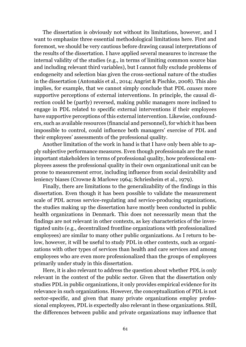The dissertation is obviously not without its limitations, however, and I want to emphasize three essential methodological limitations here. First and foremost, we should be very cautious before drawing causal interpretations of the results of the dissertation. I have applied several measures to increase the internal validity of the studies (e.g., in terms of limiting common source bias and including relevant third variables), but I cannot fully exclude problems of endogeneity and selection bias given the cross-sectional nature of the studies in the dissertation (Antonakis et al., 2014; Angrist & Pischke, 2008). This also implies, for example, that we cannot simply conclude that PDL *causes* more supportive perceptions of external interventions. In principle, the causal direction could be (partly) reversed, making public managers more inclined to engage in PDL related to specific external interventions if their employees have supportive perceptions of this external intervention. Likewise, confounders, such as available resources (financial and personnel), for which it has been impossible to control, could influence both managers' exercise of PDL and their employees' assessments of the professional quality.

Another limitation of the work in hand is that I have only been able to apply subjective performance measures. Even though professionals are the most important stakeholders in terms of professional quality, how professional employees assess the professional quality in their own organizational unit can be prone to measurement error, including influence from social desirability and leniency biases (Crowne & Marlowe 1964; Schriesheim et al., 1979).

Finally, there are limitations to the generalizability of the findings in this dissertation. Even though it has been possible to validate the measurement scale of PDL across service-regulating and service-producing organizations, the studies making up the dissertation have mostly been conducted in public health organizations in Denmark. This does not necessarily mean that the findings are not relevant in other contexts, as key characteristics of the investigated units (e.g., decentralized frontline organizations with professionalized employees) are similar to many other public organizations. As I return to below, however, it will be useful to study PDL in other contexts, such as organizations with other types of services than health and care services and among employees who are even more professionalized than the groups of employees primarily under study in this dissertation.

Here, it is also relevant to address the question about whether PDL is only relevant in the context of the public sector. Given that the dissertation only studies PDL in public organizations, it only provides empirical evidence for its relevance in such organizations. However, the conceptualization of PDL is not sector-specific, and given that many private organizations employ professional employees, PDL is expectedly also relevant in these organizations. Still, the differences between public and private organizations may influence that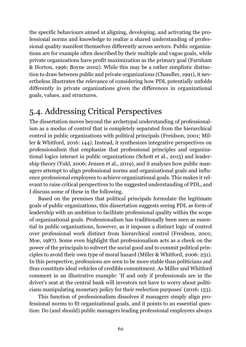the specific behaviours aimed at aligning, developing, and activating the professional norms and knowledge to realize a shared understanding of professional quality manifest themselves differently across sectors. Public organizations are for example often described by their multiple and vague goals, while private organizations have profit maximization as the primary goal (Farnham & Horton, 1996; Boyne 2002). While this may be a rather simplistic distinction to draw between public and private organizations (Chandler, 1991), it nevertheless illustrates the relevance of considering how PDL potentially unfolds differently in private organizations given the differences in organizational goals, values, and structures.

## 5.4. Addressing Critical Perspectives

The dissertation moves beyond the archetypal understanding of professionalism as a modus of control that is completely separated from the hierarchical control in public organizations with political principals (Freidson, 2001; Miller & Whitford, 2016: 144). Instead, it synthesizes integrative perspectives on professionalism that emphasize that professional principles and organizational logics interact in public organizations (Schott et al., 2015) and leadership theory (Yukl, 2006; Jensen et al., 2019), and it analyses how public managers attempt to align professional norms and organizational goals and influence professional employees to achieve organizational goals. This makes it relevant to raise critical perspectives to the suggested understanding of PDL, and I discuss some of these in the following.

Based on the premises that political principals formulate the legitimate goals of public organizations, this dissertation suggests seeing PDL as form of leadership with an ambition to facilitate professional quality within the scope of organizational goals. Professionalism has traditionally been seen as essential in public organizations, however, as it imposes a distinct logic of control over professional work distinct from hierarchical control (Freidson, 2001; Moe, 1987). Some even highlight that professionalism acts as a check on the power of the principals to subvert the social good and to commit political principles to avoid their own type of moral hazard (Miller & Whitford, 2006: 231). In this perspective, professions are seen to be more stable than politicians and thus constitute ideal vehicles of credible commitment. As Miller and Whitford comment in an illustrative example: 'If and only if professionals are in the driver's seat at the central bank will investors not have to worry about politicians manipulating monetary policy for their reelection purposes' (2016: 153).

This function of professionalism dissolves if managers simply align professional norms to fit organizational goals, and it points to an essential question: Do (and should) public managers leading professional employees always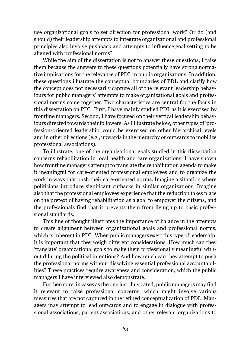use organizational goals to set direction for professional work? Or do (and should) their leadership attempts to integrate organizational and professional principles also involve pushback and attempts to influence goal setting to be aligned with professional norms?

While the aim of the dissertation is not to answer these questions, I raise them because the answers to these questions potentially have strong normative implications for the relevance of PDL in public organizations. In addition, these questions illustrate the conceptual boundaries of PDL and clarify how the concept does not necessarily capture all of the relevant leadership behaviours for public managers' attempts to make organizational goals and professional norms come together. Two characteristics are central for the focus in this dissertation on PDL. First, I have mainly studied PDL as it is exercised by frontline managers. Second, I have focused on their vertical leadership behaviours directed towards their followers. As I illustrate below, other types of 'profession-oriented leadership' could be exercised on other hierarchical levels and in other directions (e.g., upwards in the hierarchy or outwards to mobilize professional associations).

To illustrate; one of the organizational goals studied in this dissertation concerns rehabilitation in local health and care organizations. I have shown how frontline managers attempt to translate the rehabilitation agenda to make it meaningful for care-oriented professional employees and to organize the work in ways that push their care-oriented norms. Imagine a situation where politicians introduce significant cutbacks in similar organizations. Imagine also that the professional employees experience that the reduction takes place on the pretext of having rehabilitation as a goal to empower the citizens, and the professionals find that it prevents them from living up to basic professional standards.

This line of thought illustrates the importance of balance in the attempts to create alignment between organizational goals and professional norms, which is inherent in PDL. When public managers exert this type of leadership, it is important that they weigh different considerations. How much can they 'translate' organizational goals to make them professionally meaningful without diluting the political intentions? And how much can they attempt to push the professional norms without dissolving essential professional accountabilities? These practices require awareness and consideration, which the public managers I have interviewed also demonstrate.

Furthermore, in cases as the one just illustrated, public managers may find it relevant to raise professional concerns, which might involve various measures that are not captured in the refined conceptualization of PDL. Managers may attempt to lead outwards and to engage in dialogue with professional associations, patient associations, and other relevant organizations to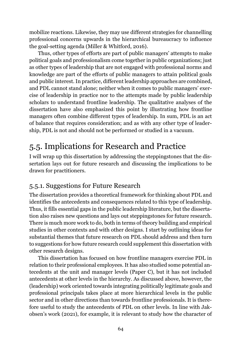mobilize reactions. Likewise, they may use different strategies for channelling professional concerns upwards in the hierarchical bureaucracy to influence the goal-setting agenda (Miller & Whitford, 2016).

Thus, other types of efforts are part of public managers' attempts to make political goals and professionalism come together in public organizations; just as other types of leadership that are not engaged with professional norms and knowledge are part of the efforts of public managers to attain political goals and public interest. In practice, different leadership approaches are combined, and PDL cannot stand alone; neither when it comes to public managers' exercise of leadership in practice nor to the attempts made by public leadership scholars to understand frontline leadership. The qualitative analyses of the dissertation have also emphasized this point by illustrating how frontline managers often combine different types of leadership. In sum, PDL is an act of balance that requires consideration; and as with any other type of leadership, PDL is not and should not be performed or studied in a vacuum.

# 5.5. Implications for Research and Practice

I will wrap up this dissertation by addressing the steppingstones that the dissertation lays out for future research and discussing the implications to be drawn for practitioners.

### 5.5.1. Suggestions for Future Research

The dissertation provides a theoretical framework for thinking about PDL and identifies the antecedents and consequences related to this type of leadership. Thus, it fills essential gaps in the public leadership literature, but the dissertation also raises new questions and lays out steppingstones for future research. There is much more work to do, both in terms of theory building and empirical studies in other contexts and with other designs. I start by outlining ideas for substantial themes that future research on PDL should address and then turn to suggestions for how future research could supplement this dissertation with other research designs.

This dissertation has focused on how frontline managers exercise PDL in relation to their professional employees. It has also studied some potential antecedents at the unit and manager levels (Paper C), but it has not included antecedents at other levels in the hierarchy. As discussed above, however, the (leadership) work oriented towards integrating politically legitimate goals and professional principals takes place at more hierarchical levels in the public sector and in other directions than towards frontline professionals. It is therefore useful to study the antecedents of PDL on other levels. In line with Jakobsen's work (2021), for example, it is relevant to study how the character of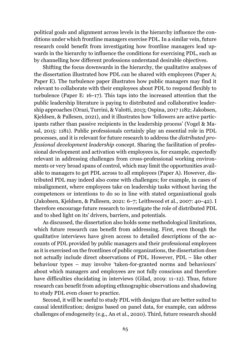political goals and alignment across levels in the hierarchy influence the conditions under which frontline managers exercise PDL. In a similar vein, future research could benefit from investigating how frontline managers lead upwards in the hierarchy to influence the conditions for exercising PDL, such as by channelling how different professions understand desirable objectives.

Shifting the focus downwards in the hierarchy, the qualitative analyses of the dissertation illustrated how PDL can be shared with employees (Paper A; Paper E). The turbulence paper illustrates how public managers may find it relevant to collaborate with their employees about PDL to respond flexibly to turbulence (Paper E:  $16-17$ ). This taps into the increased attention that the public leadership literature is paying to distributed and collaborative leadership approaches (Orazi, Turrini, & Valotti, 2013; Ospina, 2017 1182; Jakobsen, Kjeldsen, & Pallesen, 2021), and it illustrates how 'followers are active participants rather than passive recipients in the leadership process' (Vogel & Masal, 2015: 1181). Public professionals certainly play an essential role in PDL processes, and it is relevant for future research to address the *distributed professional development leadership* concept. Sharing the facilitation of professional development and activation with employees is, for example, expectedly relevant in addressing challenges from cross-professional working environments or very broad spans of control, which may limit the opportunities available to managers to get PDL across to all employees (Paper A). However, distributed PDL may indeed also come with challenges; for example, in cases of misalignment, where employees take on leadership tasks without having the competences or intentions to do so in line with stated organizational goals (Jakobsen, Kjeldsen, & Pallesen, 2021: 6‒7; Leithwood et al., 2007: 40‒42). I therefore encourage future research to investigate the role of distributed PDL and to shed light on its' drivers, barriers, and potentials.

As discussed, the dissertation also holds some methodological limitations, which future research can benefit from addressing. First, even though the qualitative interviews have given access to detailed descriptions of the accounts of PDL provided by public managers and their professional employees as it is exercised on the frontlines of public organizations, the dissertation does not actually include direct observations of PDL. However, PDL – like other behaviour types – may involve 'taken-for-granted norms and behaviours' about which managers and employees are not fully conscious and therefore have difficulties elucidating in interviews (Gilad, 2019: 11–12). Thus, future research can benefit from adopting ethnographic observations and shadowing to study PDL even closer to practice.

Second, it will be useful to study PDL with designs that are better suited to causal identification; designs based on panel data, for example, can address challenges of endogeneity (e.g., An et al., 2020). Third, future research should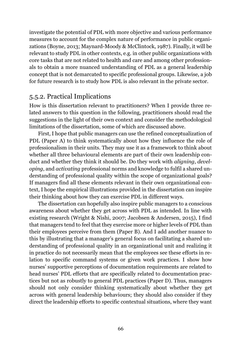investigate the potential of PDL with more objective and various performance measures to account for the complex nature of performance in public organizations (Boyne, 2013; Maynard-Moody & McClintock, 1987). Finally, it will be relevant to study PDL in other contexts, e.g. in other public organizations with core tasks that are not related to health and care and among other professionals to obtain a more nuanced understanding of PDL as a general leadership concept that is not demarcated to specific professional groups. Likewise, a job for future research is to study how PDL is also relevant in the private sector.

### 5.5.2. Practical Implications

How is this dissertation relevant to practitioners? When I provide three related answers to this question in the following, practitioners should read the suggestions in the light of their own context and consider the methodological limitations of the dissertation, some of which are discussed above.

First, I hope that public managers can use the refined conceptualization of PDL (Paper A) to think systematically about how they influence the role of professionalism in their units. They may use it as a framework to think about whether all three behavioural elements are part of their own leadership conduct and whether they think it should be. Do they work with *aligning*, *developing*, and *activating* professional norms and knowledge to fulfil a shared understanding of professional quality within the scope of organizational goals? If managers find all these elements relevant in their own organizational context, I hope the empirical illustrations provided in the dissertation can inspire their thinking about how they can exercise PDL in different ways.

The dissertation can hopefully also inspire public managers to a conscious awareness about whether they get across with PDL as intended. In line with existing research (Wright & Nishi, 2007; Jacobsen & Andersen, 2015), I find that managers tend to feel that they exercise more or higher levels of PDL than their employees perceive from them (Paper B). And I add another nuance to this by illustrating that a manager's general focus on facilitating a shared understanding of professional quality in an organizational unit and realizing it in practice do not necessarily mean that the employees see these efforts in relation to specific command systems or given work practices. I show how nurses' supportive perceptions of documentation requirements are related to head nurses' PDL efforts that are specifically related to documentation practices but not as robustly to general PDL practices (Paper D). Thus, managers should not only consider thinking systematically about whether they get across with general leadership behaviours; they should also consider if they direct the leadership efforts to specific contextual situations, where they want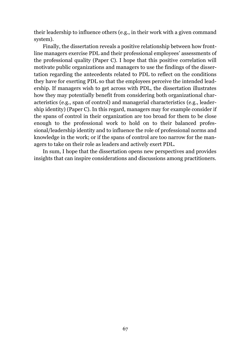their leadership to influence others (e.g., in their work with a given command system).

Finally, the dissertation reveals a positive relationship between how frontline managers exercise PDL and their professional employees' assessments of the professional quality (Paper C). I hope that this positive correlation will motivate public organizations and managers to use the findings of the dissertation regarding the antecedents related to PDL to reflect on the conditions they have for exerting PDL so that the employees perceive the intended leadership. If managers wish to get across with PDL, the dissertation illustrates how they may potentially benefit from considering both organizational characteristics (e.g., span of control) and managerial characteristics (e.g., leadership identity) (Paper C). In this regard, managers may for example consider if the spans of control in their organization are too broad for them to be close enough to the professional work to hold on to their balanced professional/leadership identity and to influence the role of professional norms and knowledge in the work; or if the spans of control are too narrow for the managers to take on their role as leaders and actively exert PDL.

In sum, I hope that the dissertation opens new perspectives and provides insights that can inspire considerations and discussions among practitioners.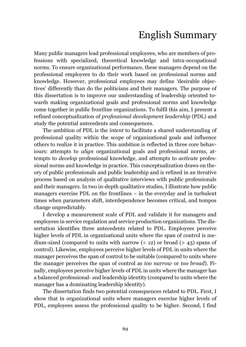# English Summary

Many public managers lead professional employees, who are members of professions with specialized, theoretical knowledge and intra-occupational norms. To ensure organizational performance, these managers depend on the professional employees to do their work based on professional norms and knowledge. However, professional employees may define 'desirable objectives' differently than do the politicians and their managers. The purpose of this dissertation is to improve our understanding of leadership oriented towards making organizational goals and professional norms and knowledge come together in public frontline organizations. To fulfil this aim, I present a refined conceptualization of *professional development leadership* (PDL) and study the potential antecedents and consequences.

The ambition of PDL is the *intent* to facilitate a shared understanding of professional quality within the scope of organizational goals and influence others to realize it in practice. This ambition is reflected in three core behaviours: attempts to *align* organizational goals and professional norms, attempts to *develop* professional knowledge, and attempts to *activate* professional norms and knowledge in practice. This conceptualization draws on theory of public professionals and public leadership and is refined in an iterative process based on analysis of qualitative interviews with public professionals and their managers. In two in-depth qualitative studies, I illustrate how public managers exercise PDL on the frontlines – in the everyday and in turbulent times when parameters shift, interdependence becomes critical, and tempos change unpredictably.

I develop a measurement scale of PDL and validate it for managers and employees in service regulation and service production organizations. The dissertation identifies three antecedents related to PDL. Employees perceive higher levels of PDL in organizational units where the span of control is medium-sized (compared to units with narrow  $($  < 12) or broad  $($  > 43) spans of control). Likewise, employees perceive higher levels of PDL in units where the manager perceives the span of control to be suitable (compared to units where the manager perceives the span of control as *too narrow* or *too broad*). Finally, employees perceive higher levels of PDL in units where the manager has a balanced professional- and leadership identity (compared to units where the manager has a dominating leadership identity).

The dissertation finds two potential consequences related to PDL. First, I show that in organizational units where managers exercise higher levels of PDL, employees assess the professional quality to be higher. Second, I find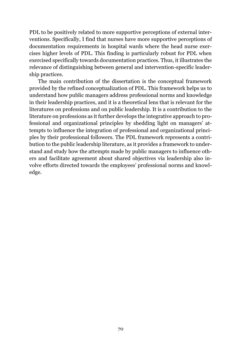PDL to be positively related to more supportive perceptions of external interventions. Specifically, I find that nurses have more supportive perceptions of documentation requirements in hospital wards where the head nurse exercises higher levels of PDL. This finding is particularly robust for PDL when exercised specifically towards documentation practices. Thus, it illustrates the relevance of distinguishing between general and intervention-specific leadership practices.

The main contribution of the dissertation is the conceptual framework provided by the refined conceptualization of PDL. This framework helps us to understand how public managers address professional norms and knowledge in their leadership practices, and it is a theoretical lens that is relevant for the literatures on professions and on public leadership. It is a contribution to the literature on professions as it further develops the integrative approach to professional and organizational principles by shedding light on managers' attempts to influence the integration of professional and organizational principles by their professional followers. The PDL framework represents a contribution to the public leadership literature, as it provides a framework to understand and study how the attempts made by public managers to influence others and facilitate agreement about shared objectives via leadership also involve efforts directed towards the employees' professional norms and knowledge.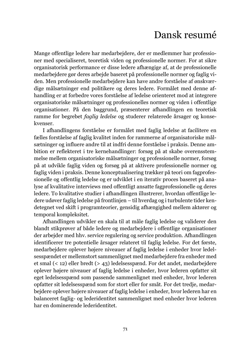# Dansk resumé

Mange offentlige ledere har medarbejdere, der er medlemmer har professioner med specialiseret, teoretisk viden og professionelle normer. For at sikre organisatorisk performance er disse ledere afhængige af, at de professionelle medarbejdere gør deres arbejde baseret på professionelle normer og faglig viden. Men professionelle medarbejdere kan have andre forståelse af ønskværdige målsætninger end politikere og deres ledere. Formålet med denne afhandling er at forbedre vores forståelse af ledelse orienteret mod at integrere organisatoriske målsætninger og professionelles normer og viden i offentlige organisationer. På den baggrund, præsenterer afhandlingen en teoretisk ramme for begrebet *faglig ledelse* og studerer relaterede årsager og konsekvenser.

I afhandlingens forståelse er formålet med faglig ledelse at facilitere en fælles forståelse af faglig kvalitet inden for rammerne af organisatoriske målsætninger og influere andre til at indfri denne forståelse i praksis. Denne ambition er reflekteret i tre kernehandlinger: forsøg på at skabe overensstemmelse mellem organisatoriske målsætninger og professionelle normer, forsøg på at udvikle faglig viden og forsøg på at aktivere professionelle normer og faglig viden i praksis. Denne konceptualisering trækker på teori om fagprofessionelle og offentlig ledelse og er udviklet i en iterativ proces baseret på analyse af kvalitative interviews med offentligt ansatte fagprofessionelle og deres ledere. To kvalitative studier i afhandlingen illustrerer, hvordan offentlige ledere udøver faglig ledelse på frontlinjen – til hverdag og i turbulente tider kendetegnet ved skift i programteorier, gensidig afhængighed mellem aktører og temporal kompleksitet.

Afhandlingen udvikler en skala til at måle faglig ledelse og validerer den blandt stikprøver af både ledere og medarbejdere i offentlige organisationer der arbejder med hhv. service regulering og service produktion. Afhandlingen identificerer tre potentielle årsager relateret til faglig ledelse. For det første, medarbejdere oplever højere niveauer af faglig ledelse i enheder hvor ledelsesspændet er mellemstort sammenlignet med medarbejdere fra enheder med et smal (< 12) eller bredt (> 43) ledelsesspænd. For det andet, medarbejdere oplever højere niveauer af faglig ledelse i enheder, hvor lederen opfatter sit eget ledelsesspænd som passende sammenlignet med enheder, hvor lederen opfatter sit ledelsesspænd som for stort eller for småt. For det tredje, medarbejdere oplever højere niveauer af faglig ledelse i enheder, hvor lederen har en balanceret faglig- og lederidentitet sammenlignet med enheder hvor lederen har en dominerende lederidentitet.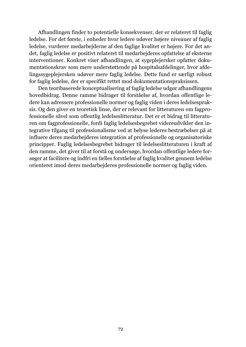Afhandlingen finder to potentielle konsekvenser, der er relateret til faglig ledelse. For det første, i enheder hvor ledere udøver højere niveauer af faglig ledelse, vurderer medarbejderne af den faglige kvalitet er højere. For det andet, faglig ledelse er positivt relateret til medarbejderes opfattelse af eksterne interventioner. Konkret viser afhandlingen, at sygeplejersker opfatter dokumentationskrav som mere understøttende på hospitalsafdelinger, hvor afdelingssygeplejersken udøver mere faglig ledelse. Dette fund er særligt robust for faglig ledelse, der er specifikt rettet mod dokumentationspraksissen.

Den teoribaserede konceptualisering af faglig ledelse udgør afhandlingens hovedbidrag. Denne ramme bidrager til forståelse af, hvordan offentlige ledere kan adressere professionelle normer og faglig viden i deres ledelsespraksis. Og den giver en teoretisk linse, der er relevant for litteraturen om fagprofessionelle såvel som offentlig ledelseslitteratur. Det er et bidrag til litteraturen om fagprofessionelle, fordi faglig ledelsesbegrebet videreudvikler den integrative tilgang til professionalisme ved at belyse lederes bestræbelser på at influere deres medarbejderes integration af professionelle og organisatoriske principper. Faglig ledelsesbegrebet bidrager til ledelseslitteraturen i kraft af den ramme, det giver til at forstå og undersøge, hvordan offentlige ledere forsøger at facilitere og indfri en fælles forståelse af faglig kvalitet gennem ledelse orienteret imod deres medarbejderes professionelle normer og faglig viden.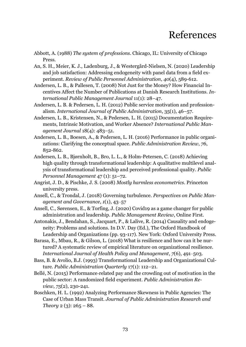## References

- Abbott, A. (1988) *The system of professions*. Chicago, IL: University of Chicago Press.
- An, S. H., Meier, K. J., Ladenburg, J., & Westergård-Nielsen, N. (2020) Leadership and job satisfaction: Addressing endogeneity with panel data from a field experiment. *Review of Public Personnel Administration*, *40*(4), 589-612.
- Andersen, L. B., & Pallesen, T. (2008) Not Just for the Money? How Financial Incentives Affect the Number of Publications at Danish Research Institutions. *International Public Management Journal* 11(1): 28–47.
- Andersen, L. B. & Pedersen, L. H. (2012) Public service motivation and professionalism. *International Journal of Public Administration*, 35(1), 46–57.
- Andersen, L. B., Kristensen, N., & Pedersen, L. H. (2015) Documentation Requirements, Intrinsic Motivation, and Worker Absence? *International Public Management Journal* 18(4): 483–51.
- Andersen, L. B., Boesen, A., & Pedersen, L. H. (2016) Performance in public organizations: Clarifying the conceptual space. *Public Administration Review*, *76*, 852-862.
- Andersen, L. B., Bjørnholt, B., Bro, L. L., & Holm-Petersen, C. (2018) Achieving high quality through transformational leadership: A qualitative multilevel analysis of transformational leadership and perceived professional quality. *Public Personnel Management* 47 (1): 51–72.
- Angrist, J. D., & Pischke, J. S. (2008) *Mostly harmless econometrics*. Princeton university press.
- Ansell, C., & Trondal, J. (2018) Governing turbulence. *Perspectives on Public Management and Governance*, *1*(1), 43‒57
- Ansell, C., Sørensen, E., & Torfing, J. (2020) Covid19 as a game changer for public administration and leadership. *Public Management Review*, Online First.
- Antonakis, J., Bendahan, S., Jacquart, P., & Lalive, R. (2014) Causality and endogeneity: Problems and solutions. In D.V. Day (Ed.), The Oxford Handbook of Leadership and Organizations (pp. 93-117). New York: Oxford University Press.
- Barasa, E., Mbau, R., & Gilson, L. (2018) What is resilience and how can it be nurtured? A systematic review of empirical literature on organizational resilience. *International Journal of Health Policy and Management*, *7*(6), 491‒503.
- Bass, B. & Avolio, B.J. (1993) Transformational Leadership and Organizational Culture. *Public Administration Quarterly* 17(1): 112–21.
- Bellé, N. (2015) Performance-related pay and the crowding out of motivation in the public sector: A randomized field experiment. *Public Administration Review*, *75*(2), 230-241.
- Boschken, H. L. (1992) Analyzing Performance Skewness in Public Agencies: The Case of Urban Mass Transit. *Journal of Public Administration Research and Theory* 2 (3): 265 – 88.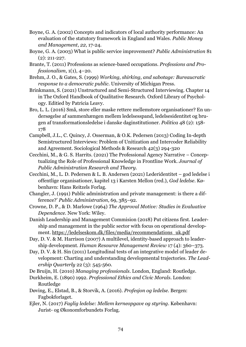- Boyne, G. A. (2002) Concepts and indicators of local authority performance: An evaluation of the statutory framework in England and Wales. *Public Money and Management*, *22*, 17-24.
- Boyne, G. A. (2003) What is public service improvement? *Public Administration* 81 (2): 211-227.
- Brante, T. (2011) Professions as science-based occupations. *Professions and Professionalism*, 1(1), 4–20.
- Brehm, J. O., & Gates, S. (1999) *Working, shirking, and sabotage: Bureaucratic response to a democratic public*. University of Michigan Press.
- Brinkmann, S. (2021) Unstructured and Semi-Structured Interviewing. Chapter 14 in The Oxford Handbook of Qualitative Research. Oxford Library of Psychology. Editied by Patricia Leavy.
- Bro, L. L. (2016) Små, store eller maske rettere mellemstore organisationer? En undersøgelse af sammenhængen mellem ledelsesspand, ledelsesidentitet og brugen af transformationsledelse i danske daginstitutioner. *Politica* 48 (2): 158- 178
- Campbell, J.L., C. Quincy, J. Osserman, & O.K. Pedersen (2013) Coding In-depth Semistructured Interviews: Problem of Unitization and Intercoder Reliability and Agreement. Sociological Methods & Research 42(3) 294-320
- Cecchini, M., & G. S. Harrits. (2021) The Professional Agency Narrative Conceptualizing the Role of Professional Knowledge in Frontline Work. *Journal of Public Administration Research and Theory.*
- Cecchini, M., L. D. Pedersen & L. B. Andersen (2021) Lederidentitet god ledelse i offentlige organisationer, kapitel 13 i Karsten Mellon (red.), *God ledelse*. København: Hans Reitzels Forlag.
- Changler, J. (1991) Public administration and private management: is there a difference?' *Public Administration*, 69, 385–92.
- Crowne, D. P., & D. Marlowe (1964) *The Approval Motive: Studies in Evaluative Dependence.* New York: Wiley.
- Danish Leadership and Management Commision (2018) Put citizens first. Leadership and management in the public sector with focus on operational development. [https://ledelseskom.dk/files/media/recommendations\\_uk.pdf](https://ledelseskom.dk/files/media/recommendations_uk.pdf)
- Day, D. V. & M. Harrison (2007) A multilevel, identity-based approach to leadership development. *Human Resource Management Review* 17 (4): 360–373.
- Day, D. V. & H. Sin (2011) Longitudinal tests of an integrative model of leader development: Charting and understanding developmental trajectories. *The Leadership Quarterly* 22 (3): 545-560.

De Bruijn, H. (2010) *Managing professionals*. London, England: Routledge.

Durkheim, E. (1890) 1992. *Professional Ethics and Civic Morals*. London: Routledge

- Døving, E., Elstad, B., & Storvik, A. (2016). *Profesjon og ledelse.* Bergen: Fagbokforlaget.
- Ejler, N. (2017) *Faglig ledelse: Mellem kerneopgave og styring*. København: Jurist- og Økonomforbundets Forlag.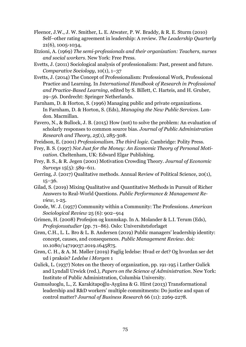- Fleenor, J.W., J. W. Smither, L. E. Atwater, P. W. Braddy, & R. E. Sturm (2010) Self–other rating agreement in leadership: A review. *The Leadership Quarterly* 21(6), 1005-1034,
- Etzioni, A. (1969) *The semi-professionals and their organization: Teachers, nurses and social workers*. New York: Free Press.
- Evetts, J. (2011) Sociological analysis of professionalism: Past, present and future. *Comparative Sociology*, 10(1), 1–37
- Evetts, J. (2014) The Concept of Professionalism: Professional Work, Professional Practice and Learning. In *International Handbook of Research in Professional and Practice-Based Learning*, edited by S. Billett, C. Harteis, and H. Gruber, 29–56. Dordrecht: Springer Netherlands.
- Farnham, D. & Horton, S. (1996) Managing public and private organizations. In Farnham, D. & Horton, S. (Eds), *Managing the New Public Services*. London. Macmillan.
- Favero, N., & Bullock, J. B. (2015) How (not) to solve the problem: An evaluation of scholarly responses to common source bias. *Journal of Public Administration Research and Theory*, *25*(1), 285-308.
- Freidson, E. (2001) *Professionalism. The third logic*. Cambridge: Polity Press.
- Frey, B. S. (1997) *Not Just for the Money: An Economic Theory of Personal Motivation*. Cheltenham, UK: Edward Elgar Publishing.
- Frey, B. S., & R. Jegen (2001) Motivation Crowding Theory. *Journal of Economic Surveys* 15(5): 589–611.
- Gerring, J. (2017) Qualitative methods. Annual Review of Political Science, 20(1), 15–36.
- Gilad, S. (2019) Mixing Qualitative and Quantitative Methods in Pursuit of Richer Answers to Real-World Questions. *Public Performance & Management Review*, 1-25.
- Goode, W. J. (1957) Community within a Community: The Professions. *American Sociological Review* 25 (6): 902–914
- Grimen, H. (2008) Profesjon og kunnskap. In A. Molander & L.I. Terum (Eds), *Profesjonsstudier* (pp. 71–86). Oslo: Universitetsforlaget
- Grøn, C.H., L. L. Bro & L. B. Andersen (2019) Public managers' leadership identity: concept, causes, and consequences. *Public Management Review*. doi: 10.1080/14719037.2019.1645875.
- Grøn, C. H., & A. M. Møller (2019) Faglig ledelse: Hvad er det? Og hvordan ser det ud i praksis? *Ledelse i Morgen* 1
- Gulick, L. (1937) Notes on the theory of organization, pp. 191-195 i Luther Gulick and Lyndall Urwick (red.), *Papers on the Science of Administration*. New York: Institute of Public Administration, Columbia University.
- Gumusluoglu, L., Z. Karakitapoğlu-Aygüna & G. Hirst (2013) Transformational leadership and R&D workers' multiple commitments: Do justice and span of control matter? *Journal of Business Research* 66 (11): 2269-2278.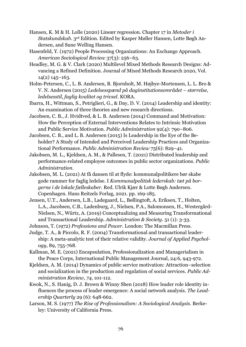- Hansen, K. M & H. Lolle (2020) Lineær regression. Chapter 17 in *Metoder i Statskundskab*. 3rd Edition. Edited by Kasper Møller Hansen, Lotte Bøgh Andersen, and Sune Welling Hansen.
- Hasenfeld, Y. (1972) People Processing Organizations: An Exchange Approach. *American Sociological Review* 37(3): 256–63.
- Headley, M. G. & V. Clark (2020) Multilevel Mixed Methods Research Designs: Advancing a Refined Definition. Journal of Mixed Methods Research 2020, Vol. 14(2) 145–163.
- Holm-Petersen, C., L. B. Andersen, B. Bjornholt, M. Højbye-Mortensen, L. L. Bro & V. N. Andersen (2015) *Ledelsesspænd på daginstitutionsområdet – størrelse, ledelsesstil, faglig kvalitet og trivsel*. KORA.
- Ibarra, H., Wittman, S., Petriglieri, G., & Day, D. V. (2014) Leadership and identity: An examination of three theories and new research directions.
- Jacobsen, C. B., J. Hvidtved, & L. B. Andersen (2014) Command and Motivation: How the Perception of External Interventions Relates to Intrinsic Motivation and Public Service Motivation. *Public Administration* 92(4): 790–806.
- Jacobsen, C. B., and L. B. Andersen (2015) Is Leadership in the Eye of the Beholder? A Study of Intended and Perceived Leadership Practices and Organizational Performance. *Public Administration Review* 75(6): 829–41.
- Jakobsen, M. L., Kjeldsen, A. M., & Pallesen, T. (2021) Distributed leadership and performance‐related employee outcomes in public sector organizations. *Public Administration*.
- Jakobsen, M. L. (2021) At få dansen til at flyde: kommunalpolitikere bør skabe gode rammer for faglig ledelse. I *Kommunalpolitisk lederskab: tæt på borgerne i de lokale fælleskaber.* Red. Ulrik Kjær & Lotte Bøgh Andersen. Copenhagen. Hans Reitzels Forlag, 2021. pp. 169-185.
- Jensen, U.T., Andersen, L.B., Ladegaard, L., Bøllingtoft, A. Eriksen, T., Holten, L.A., Jacobsen, C.B., Ladenburg, J., Nielsen, P.A., Salomonsen, H., Westergård-Nielsen, N., Würtz, A. (2019) Conceptualizing and Measuring Transformational and Transactional Leadership. *Administration & Society*. 51 (1): 3-33.
- Johnson, T. (1972) *Professions and Power.* London: The Macmillan Press.
- Judge, T. A., & Piccolo, R. F. (2004) Transformational and transactional leadership: A meta-analytic test of their relative validity. *Journal of Applied Psychology*, 89, 755-768.
- Kallman, M. E. (2021) Encapsulation, Professionalization and Managerialism in the Peace Corps, International Public Management Journal, 24:6, 943-972.
- Kjeldsen, A. M. (2014) Dynamics of public service motivation: Attraction–selection and socialization in the production and regulation of social services. *Public Administration Review*, *74*, 101-112.
- Kwok, N., S. Hanig, D. J. Brown & Winny Shen (2018) How leader role identity influences the process of leader emergence: A social network analysis. *The Leadership Quarterly* 29 (6): 648-662.
- Larson, M. S. (1977) *The Rise of Professionalism: A Sociological Analysis*. Berkeley: University of California Press.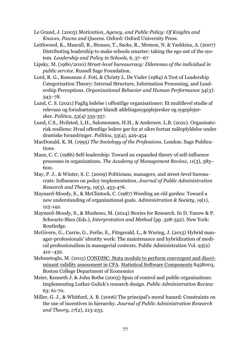- Le Grand, J. (2003) *Motivation, Agency, and Public Policy: Of Knights and Knaves, Pawns and Queens*. Oxford: Oxford University Press.
- Leithwood, K., Mascall, B., Strauss, T., Sacks, R., Memon, N. & Yashkina, A. (2007) Distributing leadership to make schools smarter: taking the ego out of the system*. Leadership and Policy in Schools,* 6, 37–67
- Lipsky, M. (1980/2010) *Street-level bureaucracy: Dilemmas of the individual in public service*. Russell Sage Foundation.
- Lord, R. G., Roseanne J. Foti, & Christy L. De Vader (1984) A Test of Leadership Categorization Theory: Internal Structure, Information Processing, and Leadership Perceptions. *Organizational Behavior and Human Performance* 34(3): 343−78.
- Lund, C. S. (2021) Faglig ledelse i offentlige organisationer: Et multilevel studie af relevans og forudsætninger blandt afdelingssygeplejersker og sygeplejersker. *Politica*, 53(4) 335-357.
- Lund, C.S., Hvilsted, L.H., Salomonsen, H.H., & Andersen. L.B. (2021). Organisatorisk resiliens: Hvad offentlige ledere gør for at sikre fortsat målopfyldelse under drastiske forandringer. *Politica*, 53(4), 429-454
- MacDonald, K. M. (1995) *The Sociology of the Professions*. London: Sage Publications.
- Manz, C. C. (1986) Self-leadership: Toward an expanded theory of self-influence processes in organizations. *The Academy of Management Review, 11*(3), 585– 600.
- May, P. J., & Winter, S. C. (2009) Politicians, managers, and street-level bureaucrats: Influences on policy implementation. *Journal of Public Administration Research and Theory*, *19*(3), 453-476.
- Maynard-Moody, S., & McClintock, C. (1987) Weeding an old garden: Toward a new understanding of organizational goals. *Administration & Society*, *19*(1), 125-142.
- Maynard-Moody, S., & Musheno, M. (2014) Stories for Research. In D. Yanow & P. Schwartz-Shea (Eds.), *Interpretation and Method* (pp. 328-352). New York: Routledge.
- McGivern, G., Currie, G., Ferlie, E., Fitzgerald, L., & Waring, J. (2015) Hybrid manager-professionals' identity work: The maintenance and hybridization of medical professionalism in managerial contexts. Public Administration Vol. 93(2) 412–432.
- Mehmetoglu, M. (2015) [CONDISC: Stata module to perform convergent and discri](https://ideas.repec.org/c/boc/bocode/s458003.html)[minant validity assessment in CFA.](https://ideas.repec.org/c/boc/bocode/s458003.html) [Statistical Software Components](https://ideas.repec.org/s/boc/bocode.html) S458003, Boston College Department of Economics
- Meier, Kenneth J. & John Bothe (2003) Span of control and public organizations: Implementing Luther Gulick's research design. *Public Administration Review*  63: 61-70.
- Miller, G. J., & Whitford, A. B. (2006) The principal's moral hazard: Constraints on the use of incentives in hierarchy. *Journal of Public Administration Research and Theory*, *17*(2), 213-233.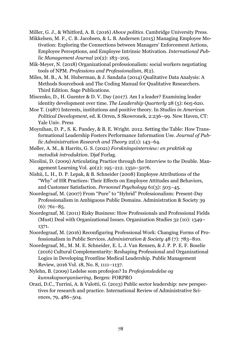Miller, G. J., & Whitford, A. B. (2016) *Above politics*. Cambridge University Press.

- Mikkelsen, M. F., C. B. Jacobsen, & L. B. Andersen (2015) Managing Employee Motivation: Exploring the Connections between Managers' Enforcement Actions, Employee Perceptions, and Employee Intrinsic Motivation. *International Public Management Journal* 20(2): 183–205.
- Mik-Meyer, N. (2018) Organizational professionalism: social workers negotiating tools of NPM. *Professions and Professionalism*, *8*(2).
- Miles, M. B., A. M. Huberman, & J. Sandaña (2014) Qualitative Data Analysis: A Methods Sourcebook and The Coding Manual for Qualitative Researchers. Third Edition. Sage Publications.
- Miscenko, D., H. Guenter & D. V. Day (2017). Am I a leader? Examining leader identity development over time. *The Leadership Quarterly* 28 (5): 605-620.
- Moe T. (1987) Interests, institutions and positive theory. In *Studies in American Political Development*, ed. K Orren, S Skowronek, 2:236–99. New Haven, CT: Yale Univ. Press
- Moynihan, D. P., S. K. Pandey, & B. E. Wright. 2012. Setting the Table: How Transformational Leadership Fosters Performance Information Use. *Journal of Public Administration Research and Theory* 22(1): 143–64.
- Møller, A. M., & Harrits, G. S. (2021) *Forskningsinterview: en praktisk og metodisk introduktion*. Djøf Forlag.
- Nicolini, D. (2009) Articulating Practice through the Interview to the Double. Management Learning Vol. 40(2): 195–212. 1350–5076.
- Nishii, L. H., D. P. Lepak, & B. Schneider (2008) Employee Attributions of the "Why" of HR Practices: Their Effects on Employee Attitudes and Behaviors, and Customer Satisfaction. *Personnel Psychology* 61(3): 503–45.
- Noordegraaf, M. (2007) From "Pure" to "Hybrid" Professionalism: Present-Day Professionalism in Ambiguous Public Domains. Administration & Society 39  $(6)$ : 761–85.
- Noordegraaf, M. (2011) Risky Business: How Professionals and Professional Fields (Must) Deal with Organizational Issues. Organization Studies 32 (10): 1349– 1371.
- Noordegraaf, M. (2016) Reconfiguring Professional Work: Changing Forms of Professionalism in Public Services. *Administration & Society* 48 (7): 783–810.
- Noordegraaf, M., M. M. E. Schneider, E. L. J. Van Rensen, & J. P. P. E. F. Boselie (2016) Cultural Complementarity: Reshaping Professional and Organizational Logics in Developing Frontline Medical Leadership. Public Management Review, 2016 Vol. 18, No. 8, 1111–1137.
- Nylehn, B. (2009) Ledelse som profesjon? In *Profesjonsledelse og kunnskapsorganisering*, Bergen: FORPRO
- Orazi, D.C., Turrini, A. & Valotti, G. (2013) Public sector leadership: new perspectives for research and practice. International Review of Administrative Sciences, 79, 486–504.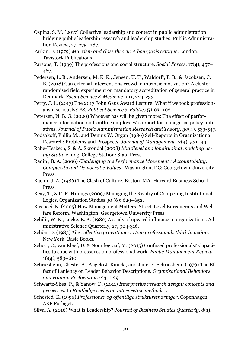- Ospina, S. M. (2017) Collective leadership and context in public administration: bridging public leadership research and leadership studies. Public Administration Review, 77, 275–287.
- Parkin, F. (1979) *Marxism and class theory: A bourgeois critique*. London: Tavistock Publications.
- Parsons, T. (1939) The professions and social structure. *Social Forces*, 17(4), 457– 467.
- Pedersen, L. B., Andersen, M. K. K., Jensen, U. T., Waldorff, F. B., & Jacobsen, C. B. (2018) Can external interventions crowd in intrinsic motivation? A cluster randomised field experiment on mandatory accreditation of general practice in Denmark. *Social Science & Medicine*, *211*, 224-233.
- Perry, J. L. (2017) The 2017 John Gaus Award Lecture: What if we took professionalism seriously? *PS: Political Science & Politics* **51**:93–102.
- Petersen, N. B. G. (2020) Whoever has will be given more: The effect of performance information on frontline employees' support for managerial policy initiatives. *Journal of Public Administration Research and Theory*, *30*(4), 533-547.

Podsakoff, Philip M., and Dennis W. Organ (1986) Self-Reports in Organizational Research: Problems and Prospects. *Journal of Management* 12(4): 531−44.

Rabe-Hesketh, S. & A. Skrondal (2008) *Multilevel and longitudinal modeling using Stata*, 2. udg. College Station: Stata Press.

- Radin , B. A. (2006) *Challenging the Performance Movement : Accountability, Complexity and Democratic Values* . Washington, DC: Georgetown University Press.
- Raelin, J. A. (1986) The Clash of Culture. Boston, MA: Harvard Business School Press.
- Reay, T., & C. R. Hinings (2009) Managing the Rivalry of Competing Institutional Logics. Organization Studies 30 (6): 629–652.
- Riccucci, N. (2005) How Management Matters: Street-Level Bureaucrats and Welfare Reform. Washington: Georgetown University Press.
- Schilit, W. K., Locke, E. A. (1982) A study of upward influence in organizations. Administrative Science Quarterly, 27, 304-316.
- Schön, D. (1983) *The reflective practitioner: How professionals think in action*. New York: Basic Books.
- Schott, C., van Kleef, D. & Noordegraaf, M. (2015) Confused professionals? Capacities to cope with pressures on professional work. *Public Management Review*, 18(4), 583–610.
- Schriesheim, Chester A., Angelo J. Kinicki, and Janet F, Schriesheim (1979) The Effect of Leniency on Leader Behavior Descriptions. *Organizational Behaviors and Human Performance* 23, 1-29.
- Schwartz-Shea, P., & Yanow, D. (2011) *Interpretive research design: concepts and processes*. In *Routledge series on interpretive methods*. .
- Sehested, K. (1996) *Professioner og offentlige strukturændringer.* Copenhagen: AKF Forlaget.
- Silva, A. (2016) What is Leadership? *Journal of Business Studies Quarterly,* 8(1).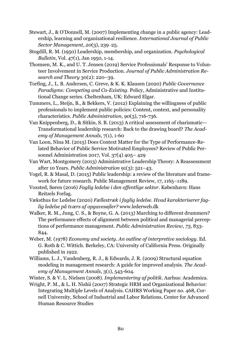- Stewart, J., & O'Donnell, M. (2007) Implementing change in a public agency: Leadership, learning and organizational resilience. *International Journal of Public Sector Management*, *20*(3), 239‒25.
- Stogdill, R. M. (1950) Leadership, membership, and organization. *Psychological Bulletin*, Vol. 47(1), Jan 1950, 1-14.
- Thomsen, M. K., and U. T. Jensen (2019) Service Professionals' Response to Volunteer Involvement in Service Production. *Journal of Public Administration Research and Theory* 30(2): 220–39.
- Torfing, J., L. B. Andersen, C. Greve, & K. K. Klausen (2020) *Public Governance Paradigms: Competing and Co-Existing*. Policy, Administrative and Institutional Change series. Cheltenham, UK: Edward Elgar.
- Tummers, L., Steijn, B., & Bekkers, V. (2012) Explaining the willingness of public professionals to implement public policies: Content, context, and personality characteristics. *Public Administration*, *90*(3), 716-736.
- Van Knippenberg, D., & Sitkin, S. B. (2013) A critical assessment of charismatic— Transformational leadership research: Back to the drawing board? *The Academy of Management Annals*, 7(1), 1-60
- Van Loon, Nina M. (2015) Does Context Matter for the Type of Performance-Related Behavior of Public Service Motivated Employees? Review of Public Personnel Administration 2017, Vol. 37(4) 405– 429
- Van Wart, Montgomery (2013) Administrative Leadership Theory: A Reassessment after 10 Years. *Public Administration* 91(3): 521–43.
- Vogel, R. & Masal, D. (2015) Public leadership: a review of the literature and framework for future research. Public Management Review, 17, 1165–1189.
- Voxsted, Søren (2016) *Faglig ledelse i den offentlige sektor*. København: Hans Reitzels Forlag.
- Væksthus for Ledelse (2020) *Fællestræk i faglig ledelse. Hvad karakteriserer faglig ledelse på tværs af opgavesøjler?* www.lederweb.dk
- Walker, R. M., Jung, C. S., & Boyne, G. A. (2013) Marching to different drummers? The performance effects of alignment between political and managerial perceptions of performance management. *Public Administration Review*, *73*, 833- 844.
- Weber, M. (1978) *Economy and society. An outline of interpretive sociology*. Ed. G. Roth & C. Wittich. Berkeley, CA: University of California Press. Originally published in 1922.
- Williams, L. J., Vandenberg, R. J., & Edwards, J. R. (2009) Structural equation modeling in management research: A guide for improved analysis. *The Academy of Management Annals*, 3(1), 543-604.
- Winter, S. & V. L. Nielsen (2008). *Implementering af politik*. Aarhus: Academica.
- Wright, P. M., & L. H. Nishii (2007) Strategic HRM and Organizational Behavior: Integrating Multiple Levels of Analysis. CAHRS Working Paper no. 468, Cornell University, School of Industrial and Labor Relations, Center for Advanced Human Resource Studies